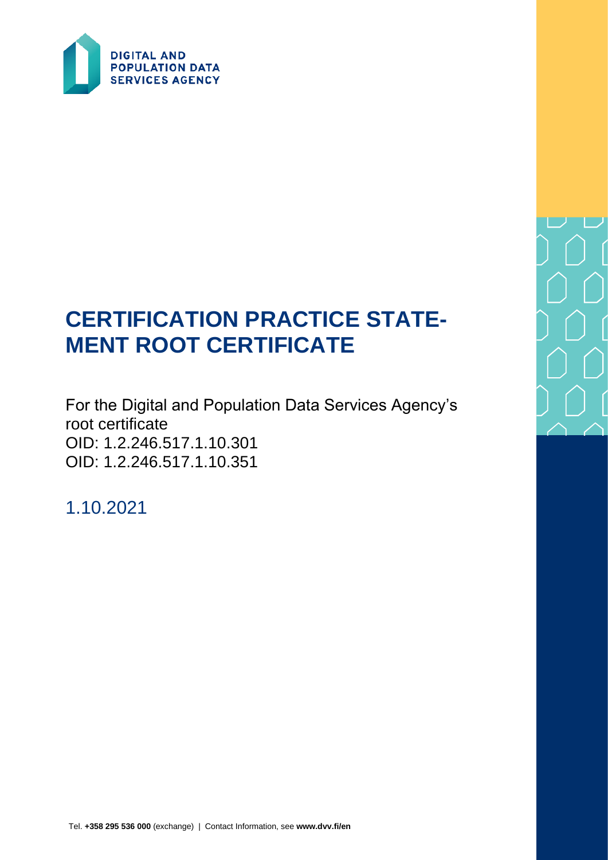

# **CERTIFICATION PRACTICE STATE-MENT ROOT CERTIFICATE**

For the Digital and Population Data Services Agency's root certificate OID: 1.2.246.517.1.10.301 OID: 1.2.246.517.1.10.351

1.10.2021

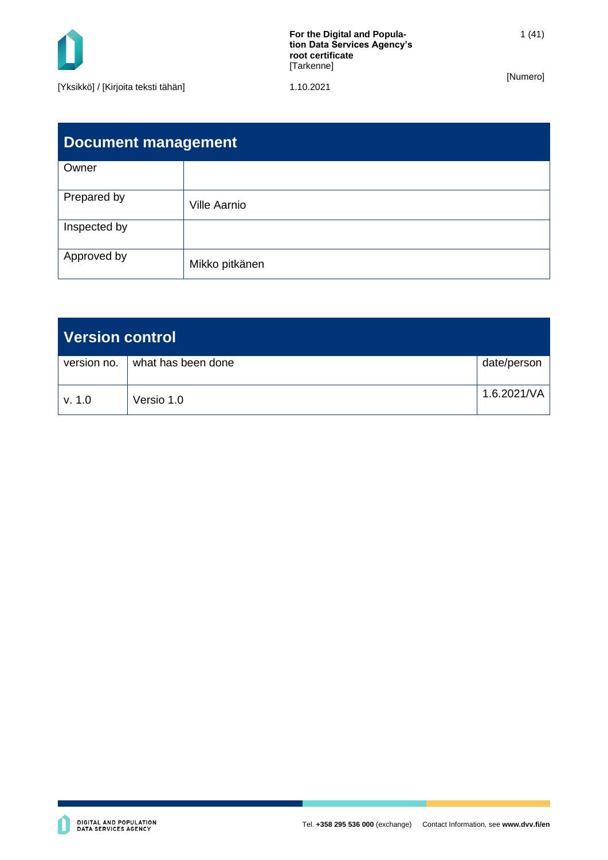

**For the Digital and Population Data Services Agency's root certificate** [Tarkenne]

[Numero]

| <b>Document management</b> |                     |  |  |
|----------------------------|---------------------|--|--|
| Owner                      |                     |  |  |
| Prepared by                | <b>Ville Aarnio</b> |  |  |
| Inspected by               |                     |  |  |
| Approved by                | Mikko pitkänen      |  |  |

| Version control |                    |             |
|-----------------|--------------------|-------------|
| version no.     | what has been done | date/person |
| v. 1.0          | Versio 1.0         | 1.6.2021/VA |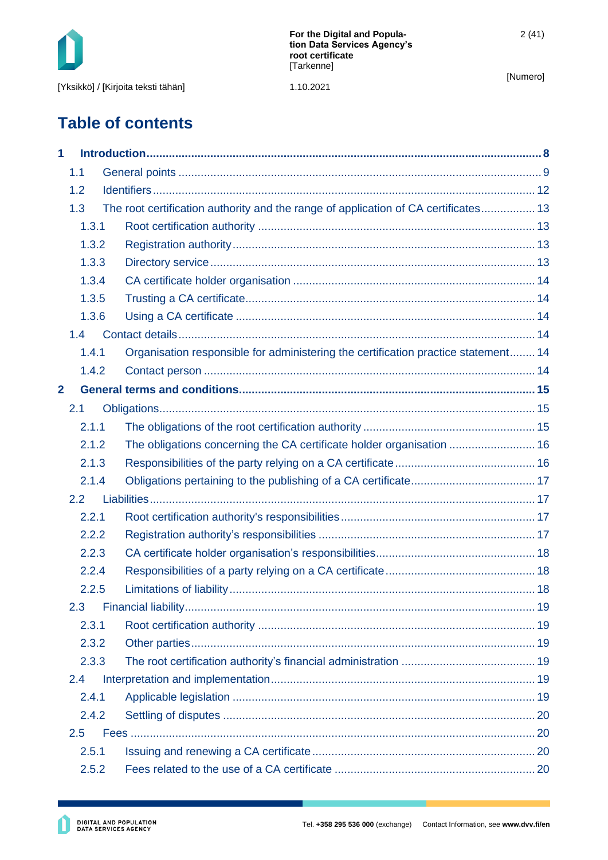

2 (41)

[Numero]

# **Table of contents**

| 1              |       |                                                                                     |  |
|----------------|-------|-------------------------------------------------------------------------------------|--|
|                | 1.1   |                                                                                     |  |
|                | 1.2   |                                                                                     |  |
|                | 1.3   | The root certification authority and the range of application of CA certificates 13 |  |
|                | 1.3.1 |                                                                                     |  |
|                | 1.3.2 |                                                                                     |  |
|                | 1.3.3 |                                                                                     |  |
|                | 1.3.4 |                                                                                     |  |
|                | 1.3.5 |                                                                                     |  |
|                | 1.3.6 |                                                                                     |  |
|                | 1.4   |                                                                                     |  |
|                | 1.4.1 | Organisation responsible for administering the certification practice statement 14  |  |
|                | 1.4.2 |                                                                                     |  |
| $\overline{2}$ |       |                                                                                     |  |
|                | 2.1   |                                                                                     |  |
|                | 2.1.1 |                                                                                     |  |
|                | 2.1.2 | The obligations concerning the CA certificate holder organisation  16               |  |
|                | 2.1.3 |                                                                                     |  |
|                | 2.1.4 |                                                                                     |  |
|                | 2.2   |                                                                                     |  |
|                | 2.2.1 |                                                                                     |  |
|                | 2.2.2 |                                                                                     |  |
|                | 2.2.3 |                                                                                     |  |
|                | 2.2.4 |                                                                                     |  |
|                | 2.2.5 |                                                                                     |  |
|                | 2.3   |                                                                                     |  |
|                | 2.3.1 |                                                                                     |  |
|                | 2.3.2 |                                                                                     |  |
|                | 2.3.3 |                                                                                     |  |
|                | 2.4   |                                                                                     |  |
|                | 2.4.1 |                                                                                     |  |
|                | 2.4.2 |                                                                                     |  |
|                | 2.5   |                                                                                     |  |
|                | 2.5.1 |                                                                                     |  |
|                | 2.5.2 |                                                                                     |  |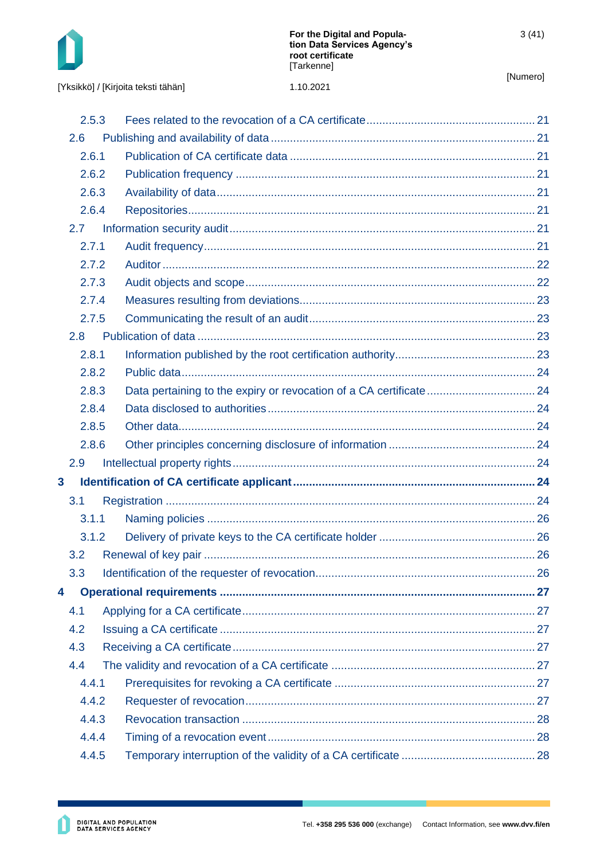

[Yksikkö] / [Kirjoita teksti tähän]

|                         | 2.5.3         |  |
|-------------------------|---------------|--|
|                         | 2.6           |  |
|                         | 2.6.1         |  |
|                         | 2.6.2         |  |
|                         | 2.6.3         |  |
|                         | 2.6.4         |  |
|                         | $2.7^{\circ}$ |  |
|                         | 2.7.1         |  |
|                         | 2.7.2         |  |
|                         | 2.7.3         |  |
|                         | 2.7.4         |  |
|                         | 2.7.5         |  |
|                         | 2.8           |  |
|                         | 2.8.1         |  |
|                         | 2.8.2         |  |
|                         | 2.8.3         |  |
|                         | 2.8.4         |  |
|                         | 2.8.5         |  |
|                         | 2.8.6         |  |
|                         | 2.9           |  |
| $\overline{\mathbf{3}}$ |               |  |
|                         | 3.1           |  |
|                         | 3.1.1         |  |
|                         | 3.1.2         |  |
|                         | 3.2           |  |
|                         | 3.3           |  |
| 4                       |               |  |
|                         | 4.1           |  |
|                         | 4.2           |  |
|                         | 4.3           |  |
|                         | 4.4           |  |
|                         | 4.4.1         |  |
|                         | 4.4.2         |  |
|                         | 4.4.3         |  |
|                         | 4.4.4         |  |
|                         | 4.4.5         |  |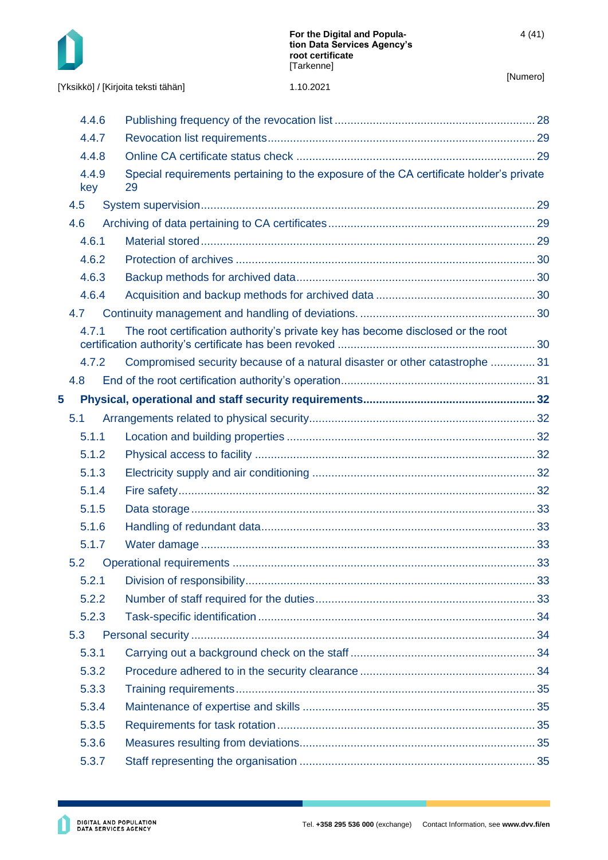

[Yksikkö] / [Kirjoita teksti tähän] 1.10.2021

|   | 4.4.6        |                                                                                              |    |
|---|--------------|----------------------------------------------------------------------------------------------|----|
|   | 4.4.7        |                                                                                              |    |
|   | 4.4.8        |                                                                                              |    |
|   | 4.4.9<br>key | Special requirements pertaining to the exposure of the CA certificate holder's private<br>29 |    |
|   | 4.5          |                                                                                              |    |
|   | 4.6          |                                                                                              |    |
|   | 4.6.1        |                                                                                              |    |
|   | 4.6.2        |                                                                                              |    |
|   | 4.6.3        |                                                                                              |    |
|   | 4.6.4        |                                                                                              |    |
|   | 4.7          |                                                                                              |    |
|   | 4.7.1        | The root certification authority's private key has become disclosed or the root              |    |
|   | 4.7.2        | Compromised security because of a natural disaster or other catastrophe  31                  |    |
|   | 4.8          |                                                                                              |    |
| 5 |              |                                                                                              |    |
|   | 5.1          |                                                                                              |    |
|   | 5.1.1        |                                                                                              |    |
|   | 5.1.2        |                                                                                              |    |
|   | 5.1.3        |                                                                                              |    |
|   | 5.1.4        |                                                                                              |    |
|   | 5.1.5        |                                                                                              |    |
|   | 5.1.6        |                                                                                              |    |
|   | 5.1.7        |                                                                                              |    |
|   | 5.2          |                                                                                              | 33 |
|   | 5.2.1        |                                                                                              |    |
|   | 5.2.2        |                                                                                              |    |
|   | 5.2.3        |                                                                                              |    |
|   | 5.3          |                                                                                              |    |
|   | 5.3.1        |                                                                                              |    |
|   | 5.3.2        |                                                                                              |    |
|   | 5.3.3        |                                                                                              |    |
|   | 5.3.4        |                                                                                              |    |
|   | 5.3.5        |                                                                                              |    |
|   | 5.3.6        |                                                                                              |    |
|   | 5.3.7        |                                                                                              |    |
|   |              |                                                                                              |    |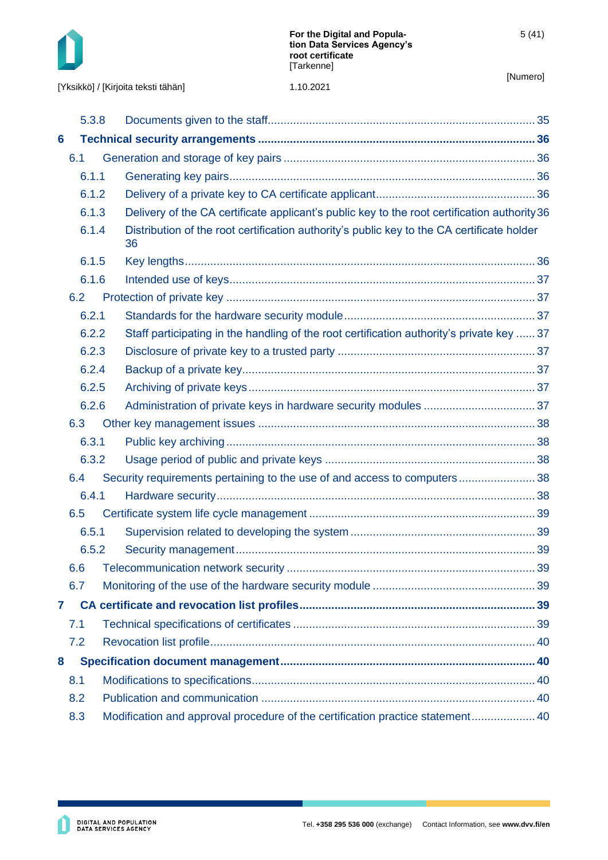

|   | 5.3.8 |  |                                                                                                  |  |
|---|-------|--|--------------------------------------------------------------------------------------------------|--|
| 6 |       |  |                                                                                                  |  |
|   | 6.1   |  |                                                                                                  |  |
|   | 6.1.1 |  |                                                                                                  |  |
|   | 6.1.2 |  |                                                                                                  |  |
|   | 6.1.3 |  | Delivery of the CA certificate applicant's public key to the root certification authority 36     |  |
|   | 6.1.4 |  | Distribution of the root certification authority's public key to the CA certificate holder<br>36 |  |
|   | 6.1.5 |  |                                                                                                  |  |
|   | 6.1.6 |  |                                                                                                  |  |
|   | 6.2   |  |                                                                                                  |  |
|   | 6.2.1 |  |                                                                                                  |  |
|   | 6.2.2 |  | Staff participating in the handling of the root certification authority's private key  37        |  |
|   | 6.2.3 |  |                                                                                                  |  |
|   | 6.2.4 |  |                                                                                                  |  |
|   | 6.2.5 |  |                                                                                                  |  |
|   | 6.2.6 |  |                                                                                                  |  |
|   | 6.3   |  |                                                                                                  |  |
|   | 6.3.1 |  |                                                                                                  |  |
|   | 6.3.2 |  |                                                                                                  |  |
|   | 6.4   |  | Security requirements pertaining to the use of and access to computers38                         |  |
|   | 6.4.1 |  |                                                                                                  |  |
|   | 6.5   |  |                                                                                                  |  |
|   | 6.5.1 |  |                                                                                                  |  |
|   | 6.5.2 |  |                                                                                                  |  |
|   | 6.6   |  |                                                                                                  |  |
|   | 6.7   |  |                                                                                                  |  |
| 7 |       |  |                                                                                                  |  |
|   | 7.1   |  |                                                                                                  |  |
|   | 7.2   |  |                                                                                                  |  |
| 8 |       |  |                                                                                                  |  |
|   | 8.1   |  |                                                                                                  |  |
|   | 8.2   |  |                                                                                                  |  |
|   | 8.3   |  | Modification and approval procedure of the certification practice statement 40                   |  |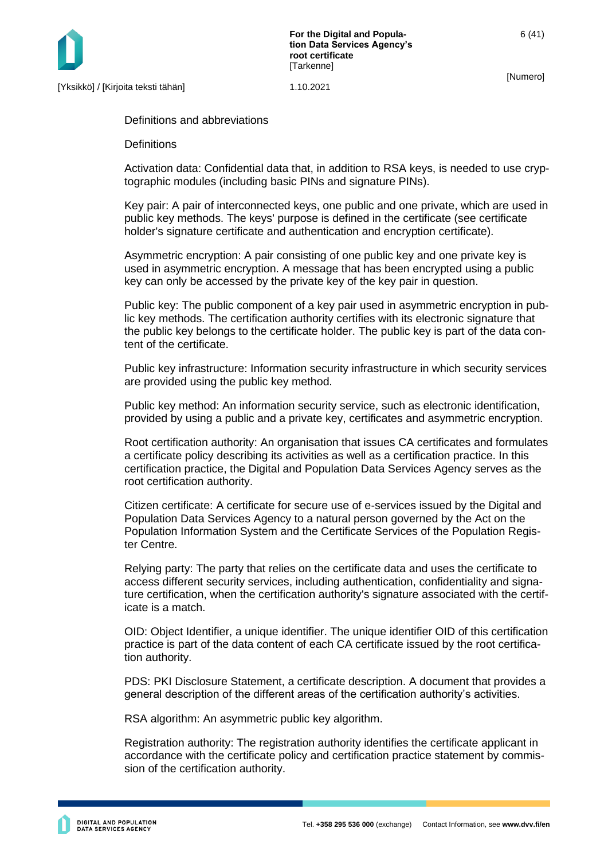

**For the Digital and Population Data Services Agency's root certificate [Tarkenne]** 

[Numero]

Definitions and abbreviations

**Definitions** 

Activation data: Confidential data that, in addition to RSA keys, is needed to use cryptographic modules (including basic PINs and signature PINs).

Key pair: A pair of interconnected keys, one public and one private, which are used in public key methods. The keys' purpose is defined in the certificate (see certificate holder's signature certificate and authentication and encryption certificate).

Asymmetric encryption: A pair consisting of one public key and one private key is used in asymmetric encryption. A message that has been encrypted using a public key can only be accessed by the private key of the key pair in question.

Public key: The public component of a key pair used in asymmetric encryption in public key methods. The certification authority certifies with its electronic signature that the public key belongs to the certificate holder. The public key is part of the data content of the certificate.

Public key infrastructure: Information security infrastructure in which security services are provided using the public key method.

Public key method: An information security service, such as electronic identification, provided by using a public and a private key, certificates and asymmetric encryption.

Root certification authority: An organisation that issues CA certificates and formulates a certificate policy describing its activities as well as a certification practice. In this certification practice, the Digital and Population Data Services Agency serves as the root certification authority.

Citizen certificate: A certificate for secure use of e-services issued by the Digital and Population Data Services Agency to a natural person governed by the Act on the Population Information System and the Certificate Services of the Population Register Centre.

Relying party: The party that relies on the certificate data and uses the certificate to access different security services, including authentication, confidentiality and signature certification, when the certification authority's signature associated with the certificate is a match.

OID: Object Identifier, a unique identifier. The unique identifier OID of this certification practice is part of the data content of each CA certificate issued by the root certification authority.

PDS: PKI Disclosure Statement, a certificate description. A document that provides a general description of the different areas of the certification authority's activities.

RSA algorithm: An asymmetric public key algorithm.

Registration authority: The registration authority identifies the certificate applicant in accordance with the certificate policy and certification practice statement by commission of the certification authority.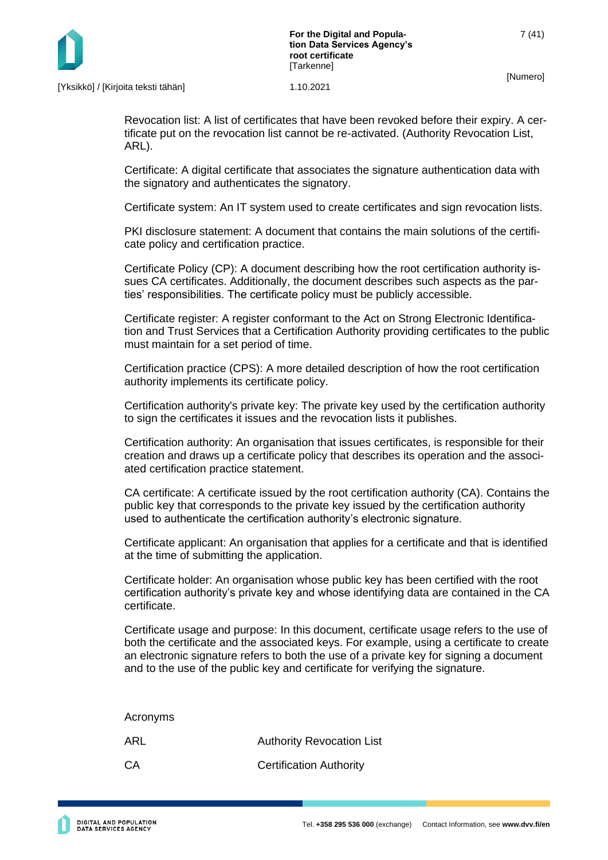

Revocation list: A list of certificates that have been revoked before their expiry. A certificate put on the revocation list cannot be re-activated. (Authority Revocation List, ARL).

Certificate: A digital certificate that associates the signature authentication data with the signatory and authenticates the signatory.

Certificate system: An IT system used to create certificates and sign revocation lists.

PKI disclosure statement: A document that contains the main solutions of the certificate policy and certification practice.

Certificate Policy (CP): A document describing how the root certification authority issues CA certificates. Additionally, the document describes such aspects as the parties' responsibilities. The certificate policy must be publicly accessible.

Certificate register: A register conformant to the Act on Strong Electronic Identification and Trust Services that a Certification Authority providing certificates to the public must maintain for a set period of time.

Certification practice (CPS): A more detailed description of how the root certification authority implements its certificate policy.

Certification authority's private key: The private key used by the certification authority to sign the certificates it issues and the revocation lists it publishes.

Certification authority: An organisation that issues certificates, is responsible for their creation and draws up a certificate policy that describes its operation and the associated certification practice statement.

CA certificate: A certificate issued by the root certification authority (CA). Contains the public key that corresponds to the private key issued by the certification authority used to authenticate the certification authority's electronic signature.

Certificate applicant: An organisation that applies for a certificate and that is identified at the time of submitting the application.

Certificate holder: An organisation whose public key has been certified with the root certification authority's private key and whose identifying data are contained in the CA certificate.

Certificate usage and purpose: In this document, certificate usage refers to the use of both the certificate and the associated keys. For example, using a certificate to create an electronic signature refers to both the use of a private key for signing a document and to the use of the public key and certificate for verifying the signature.

Acronyms ARL Authority Revocation List CA Certification Authority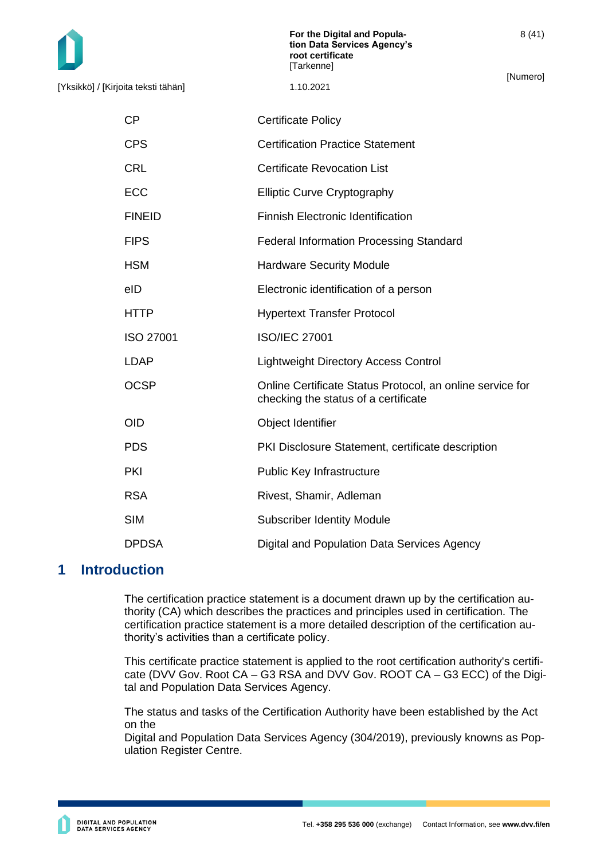8 (41)

[Yksikkö] / [Kirjoita teksti tähän] 1.10.2021

CP Certificate Policy

- CPS Certification Practice Statement
- CRL Certificate Revocation List
- ECC Elliptic Curve Cryptography
- FINEID Finnish Electronic Identification
- FIPS Federal Information Processing Standard
- HSM Hardware Security Module
- eID Electronic identification of a person
- HTTP Hypertext Transfer Protocol
- ISO 27001 ISO/IEC 27001
- LDAP Lightweight Directory Access Control
- OCSP Online Certificate Status Protocol, an online service for checking the status of a certificate
- OID **Object Identifier**
- PDS PKI Disclosure Statement, certificate description
- PKI PKI Public Key Infrastructure
- RSA Rivest, Shamir, Adleman
- SIM Subscriber Identity Module
- DPDSA Digital and Population Data Services Agency

# <span id="page-8-0"></span>**1 Introduction**

The certification practice statement is a document drawn up by the certification authority (CA) which describes the practices and principles used in certification. The certification practice statement is a more detailed description of the certification authority's activities than a certificate policy.

This certificate practice statement is applied to the root certification authority's certificate (DVV Gov. Root CA – G3 RSA and DVV Gov. ROOT CA – G3 ECC) of the Digital and Population Data Services Agency.

The status and tasks of the Certification Authority have been established by the Act on the

Digital and Population Data Services Agency (304/2019), previously knowns as Population Register Centre.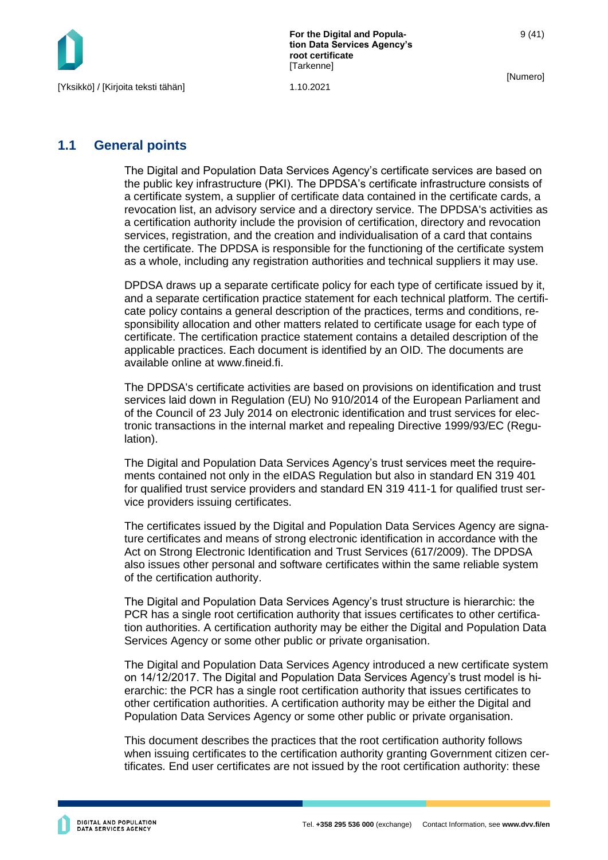

**For the Digital and Population Data Services Agency's root certificate [Tarkenne]** 

[Numero]

# <span id="page-9-0"></span>**1.1 General points**

The Digital and Population Data Services Agency's certificate services are based on the public key infrastructure (PKI). The DPDSA's certificate infrastructure consists of a certificate system, a supplier of certificate data contained in the certificate cards, a revocation list, an advisory service and a directory service. The DPDSA's activities as a certification authority include the provision of certification, directory and revocation services, registration, and the creation and individualisation of a card that contains the certificate. The DPDSA is responsible for the functioning of the certificate system as a whole, including any registration authorities and technical suppliers it may use.

DPDSA draws up a separate certificate policy for each type of certificate issued by it, and a separate certification practice statement for each technical platform. The certificate policy contains a general description of the practices, terms and conditions, responsibility allocation and other matters related to certificate usage for each type of certificate. The certification practice statement contains a detailed description of the applicable practices. Each document is identified by an OID. The documents are available online at www.fineid.fi.

The DPDSA's certificate activities are based on provisions on identification and trust services laid down in Regulation (EU) No 910/2014 of the European Parliament and of the Council of 23 July 2014 on electronic identification and trust services for electronic transactions in the internal market and repealing Directive 1999/93/EC (Regulation).

The Digital and Population Data Services Agency's trust services meet the requirements contained not only in the eIDAS Regulation but also in standard EN 319 401 for qualified trust service providers and standard EN 319 411-1 for qualified trust service providers issuing certificates.

The certificates issued by the Digital and Population Data Services Agency are signature certificates and means of strong electronic identification in accordance with the Act on Strong Electronic Identification and Trust Services (617/2009). The DPDSA also issues other personal and software certificates within the same reliable system of the certification authority.

The Digital and Population Data Services Agency's trust structure is hierarchic: the PCR has a single root certification authority that issues certificates to other certification authorities. A certification authority may be either the Digital and Population Data Services Agency or some other public or private organisation.

The Digital and Population Data Services Agency introduced a new certificate system on 14/12/2017. The Digital and Population Data Services Agency's trust model is hierarchic: the PCR has a single root certification authority that issues certificates to other certification authorities. A certification authority may be either the Digital and Population Data Services Agency or some other public or private organisation.

This document describes the practices that the root certification authority follows when issuing certificates to the certification authority granting Government citizen certificates. End user certificates are not issued by the root certification authority: these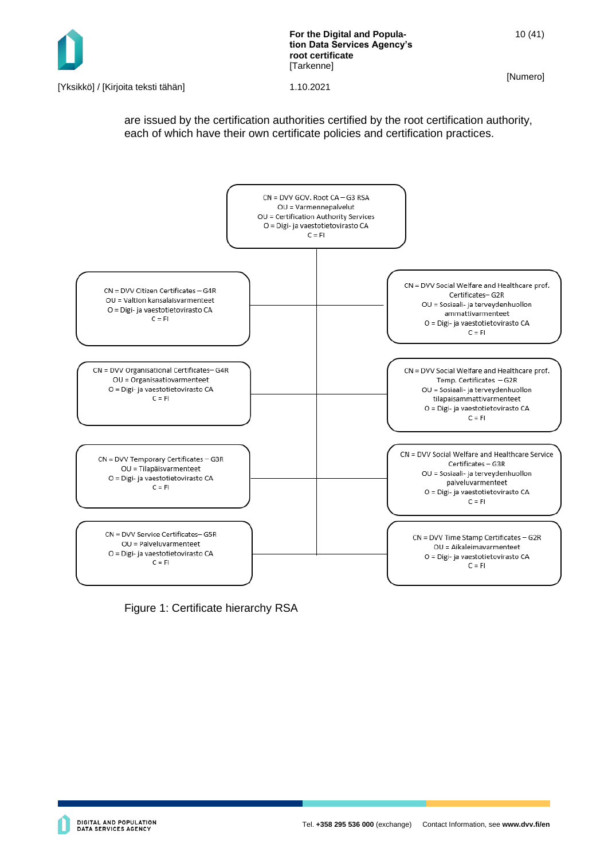

**For the Digital and Population Data Services Agency's root certificate [Tarkenne]** 

[Numero]

[Yksikkö] / [Kirjoita teksti tähän] 1.10.2021

are issued by the certification authorities certified by the root certification authority, each of which have their own certificate policies and certification practices.



Figure 1: Certificate hierarchy RSA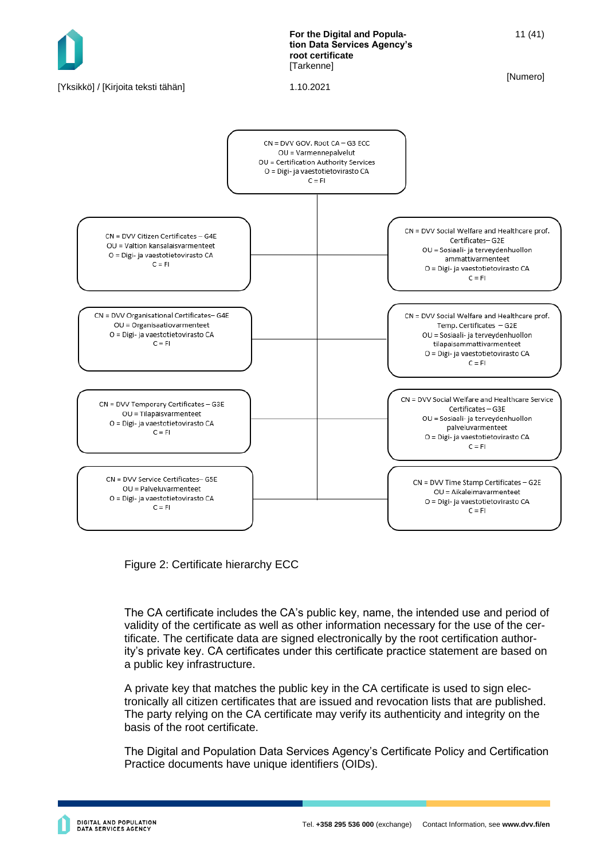

Figure 2: Certificate hierarchy ECC

The CA certificate includes the CA's public key, name, the intended use and period of validity of the certificate as well as other information necessary for the use of the certificate. The certificate data are signed electronically by the root certification authority's private key. CA certificates under this certificate practice statement are based on a public key infrastructure.

A private key that matches the public key in the CA certificate is used to sign electronically all citizen certificates that are issued and revocation lists that are published. The party relying on the CA certificate may verify its authenticity and integrity on the basis of the root certificate.

The Digital and Population Data Services Agency's Certificate Policy and Certification Practice documents have unique identifiers (OIDs).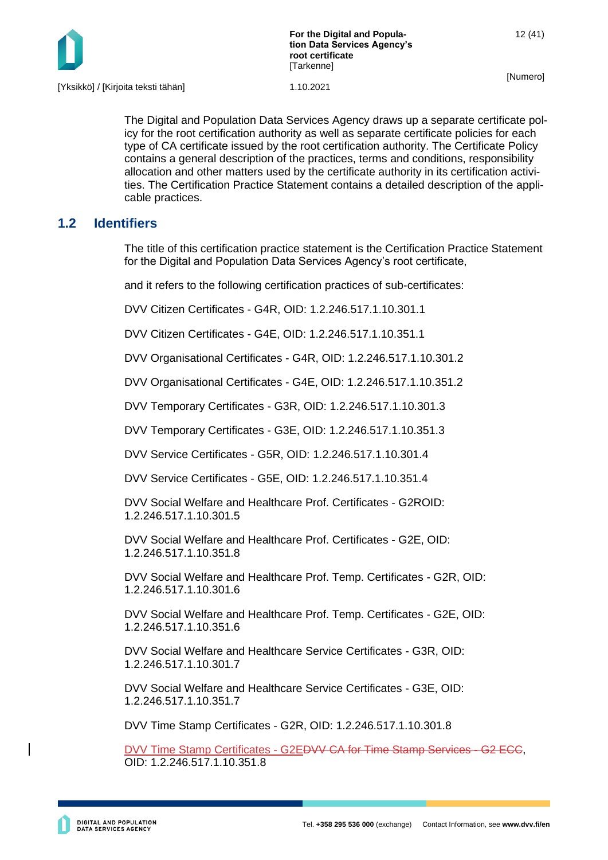

The Digital and Population Data Services Agency draws up a separate certificate policy for the root certification authority as well as separate certificate policies for each type of CA certificate issued by the root certification authority. The Certificate Policy contains a general description of the practices, terms and conditions, responsibility allocation and other matters used by the certificate authority in its certification activities. The Certification Practice Statement contains a detailed description of the applicable practices.

# <span id="page-12-0"></span>**1.2 Identifiers**

The title of this certification practice statement is the Certification Practice Statement for the Digital and Population Data Services Agency's root certificate,

and it refers to the following certification practices of sub-certificates:

DVV Citizen Certificates - G4R, OID: 1.2.246.517.1.10.301.1

DVV Citizen Certificates - G4E, OID: 1.2.246.517.1.10.351.1

DVV Organisational Certificates - G4R, OID: 1.2.246.517.1.10.301.2

DVV Organisational Certificates - G4E, OID: 1.2.246.517.1.10.351.2

DVV Temporary Certificates - G3R, OID: 1.2.246.517.1.10.301.3

DVV Temporary Certificates - G3E, OID: 1.2.246.517.1.10.351.3

DVV Service Certificates - G5R, OID: 1.2.246.517.1.10.301.4

DVV Service Certificates - G5E, OID: 1.2.246.517.1.10.351.4

DVV Social Welfare and Healthcare Prof. Certificates - G2ROID: 1.2.246.517.1.10.301.5

DVV Social Welfare and Healthcare Prof. Certificates - G2E, OID: 1.2.246.517.1.10.351.8

DVV Social Welfare and Healthcare Prof. Temp. Certificates - G2R, OID: 1.2.246.517.1.10.301.6

DVV Social Welfare and Healthcare Prof. Temp. Certificates - G2E, OID: 1.2.246.517.1.10.351.6

DVV Social Welfare and Healthcare Service Certificates - G3R, OID: 1.2.246.517.1.10.301.7

DVV Social Welfare and Healthcare Service Certificates - G3E, OID: 1.2.246.517.1.10.351.7

DVV Time Stamp Certificates - G2R, OID: 1.2.246.517.1.10.301.8

DVV Time Stamp Certificates - G2EDVV CA for Time Stamp Services - G2 ECC, OID: 1.2.246.517.1.10.351.8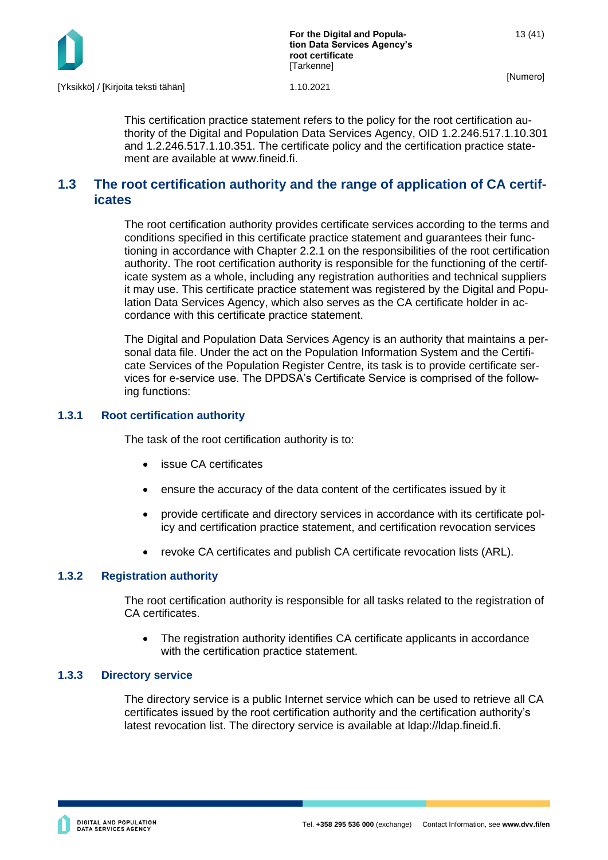

**For the Digital and Population Data Services Agency's root certificate [Tarkenne]** 

[Numero]

This certification practice statement refers to the policy for the root certification authority of the Digital and Population Data Services Agency, OID 1.2.246.517.1.10.301 and 1.2.246.517.1.10.351. The certificate policy and the certification practice statement are available at www.fineid.fi.

# <span id="page-13-0"></span>**1.3 The root certification authority and the range of application of CA certificates**

The root certification authority provides certificate services according to the terms and conditions specified in this certificate practice statement and guarantees their functioning in accordance with Chapter 2.2.1 on the responsibilities of the root certification authority. The root certification authority is responsible for the functioning of the certificate system as a whole, including any registration authorities and technical suppliers it may use. This certificate practice statement was registered by the Digital and Population Data Services Agency, which also serves as the CA certificate holder in accordance with this certificate practice statement.

The Digital and Population Data Services Agency is an authority that maintains a personal data file. Under the act on the Population Information System and the Certificate Services of the Population Register Centre, its task is to provide certificate services for e-service use. The DPDSA's Certificate Service is comprised of the following functions:

### <span id="page-13-1"></span>**1.3.1 Root certification authority**

The task of the root certification authority is to:

- issue CA certificates
- ensure the accuracy of the data content of the certificates issued by it
- provide certificate and directory services in accordance with its certificate policy and certification practice statement, and certification revocation services
- revoke CA certificates and publish CA certificate revocation lists (ARL).

#### <span id="page-13-2"></span>**1.3.2 Registration authority**

The root certification authority is responsible for all tasks related to the registration of CA certificates.

• The registration authority identifies CA certificate applicants in accordance with the certification practice statement.

#### <span id="page-13-3"></span>**1.3.3 Directory service**

The directory service is a public Internet service which can be used to retrieve all CA certificates issued by the root certification authority and the certification authority's latest revocation list. The directory service is available at ldap://ldap.fineid.fi.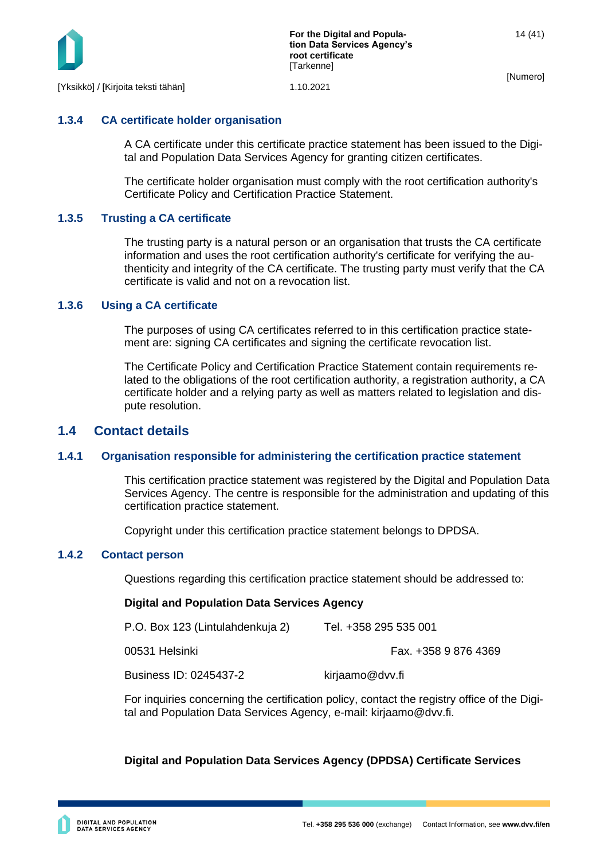

### <span id="page-14-0"></span>**1.3.4 CA certificate holder organisation**

A CA certificate under this certificate practice statement has been issued to the Digital and Population Data Services Agency for granting citizen certificates.

The certificate holder organisation must comply with the root certification authority's Certificate Policy and Certification Practice Statement.

#### <span id="page-14-1"></span>**1.3.5 Trusting a CA certificate**

The trusting party is a natural person or an organisation that trusts the CA certificate information and uses the root certification authority's certificate for verifying the authenticity and integrity of the CA certificate. The trusting party must verify that the CA certificate is valid and not on a revocation list.

#### <span id="page-14-2"></span>**1.3.6 Using a CA certificate**

The purposes of using CA certificates referred to in this certification practice statement are: signing CA certificates and signing the certificate revocation list.

The Certificate Policy and Certification Practice Statement contain requirements related to the obligations of the root certification authority, a registration authority, a CA certificate holder and a relying party as well as matters related to legislation and dispute resolution.

### <span id="page-14-3"></span>**1.4 Contact details**

#### <span id="page-14-4"></span>**1.4.1 Organisation responsible for administering the certification practice statement**

This certification practice statement was registered by the Digital and Population Data Services Agency. The centre is responsible for the administration and updating of this certification practice statement.

Copyright under this certification practice statement belongs to DPDSA.

#### <span id="page-14-5"></span>**1.4.2 Contact person**

Questions regarding this certification practice statement should be addressed to:

#### **Digital and Population Data Services Agency**

| P.O. Box 123 (Lintulahdenkuja 2) | Tel. +358 295 535 001 |
|----------------------------------|-----------------------|
| 00531 Helsinki                   | Fax. +358 9 876 4369  |
| Business ID: 0245437-2           | kirjaamo@dvv.fi       |

For inquiries concerning the certification policy, contact the registry office of the Digital and Population Data Services Agency, e-mail: kirjaamo@dvv.fi.

#### **Digital and Population Data Services Agency (DPDSA) Certificate Services**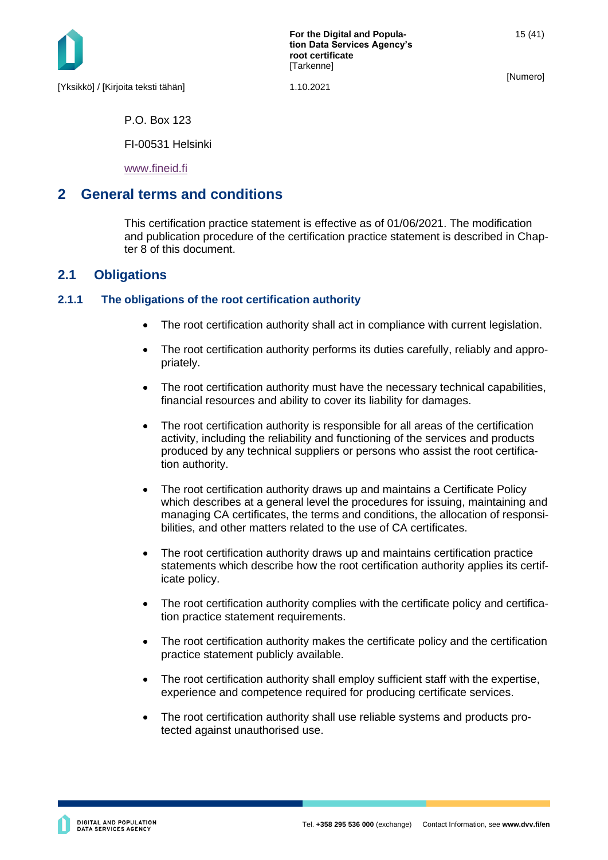

15 (41)

P.O. Box 123

FI-00531 Helsinki

[www.fineid.fi](http://www.fineid.fi/)

# <span id="page-15-0"></span>**2 General terms and conditions**

This certification practice statement is effective as of 01/06/2021. The modification and publication procedure of the certification practice statement is described in Chapter 8 of this document.

# <span id="page-15-1"></span>**2.1 Obligations**

### <span id="page-15-2"></span>**2.1.1 The obligations of the root certification authority**

- The root certification authority shall act in compliance with current legislation.
- The root certification authority performs its duties carefully, reliably and appropriately.
- The root certification authority must have the necessary technical capabilities, financial resources and ability to cover its liability for damages.
- The root certification authority is responsible for all areas of the certification activity, including the reliability and functioning of the services and products produced by any technical suppliers or persons who assist the root certification authority.
- The root certification authority draws up and maintains a Certificate Policy which describes at a general level the procedures for issuing, maintaining and managing CA certificates, the terms and conditions, the allocation of responsibilities, and other matters related to the use of CA certificates.
- The root certification authority draws up and maintains certification practice statements which describe how the root certification authority applies its certificate policy.
- The root certification authority complies with the certificate policy and certification practice statement requirements.
- The root certification authority makes the certificate policy and the certification practice statement publicly available.
- The root certification authority shall employ sufficient staff with the expertise, experience and competence required for producing certificate services.
- The root certification authority shall use reliable systems and products protected against unauthorised use.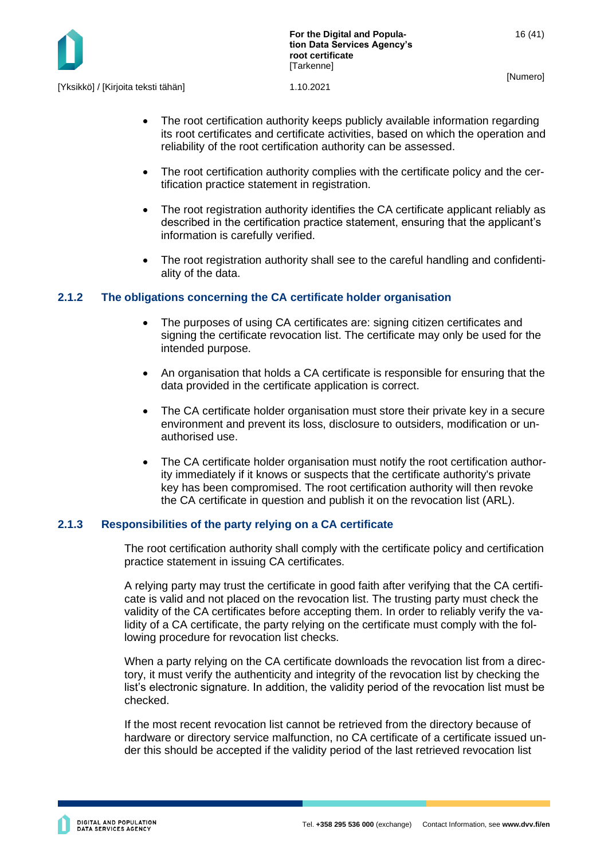

- The root certification authority keeps publicly available information regarding its root certificates and certificate activities, based on which the operation and reliability of the root certification authority can be assessed.
- The root certification authority complies with the certificate policy and the certification practice statement in registration.
- The root registration authority identifies the CA certificate applicant reliably as described in the certification practice statement, ensuring that the applicant's information is carefully verified.
- The root registration authority shall see to the careful handling and confidentiality of the data.

### <span id="page-16-0"></span>**2.1.2 The obligations concerning the CA certificate holder organisation**

- The purposes of using CA certificates are: signing citizen certificates and signing the certificate revocation list. The certificate may only be used for the intended purpose.
- An organisation that holds a CA certificate is responsible for ensuring that the data provided in the certificate application is correct.
- The CA certificate holder organisation must store their private key in a secure environment and prevent its loss, disclosure to outsiders, modification or unauthorised use.
- The CA certificate holder organisation must notify the root certification authority immediately if it knows or suspects that the certificate authority's private key has been compromised. The root certification authority will then revoke the CA certificate in question and publish it on the revocation list (ARL).

# <span id="page-16-1"></span>**2.1.3 Responsibilities of the party relying on a CA certificate**

The root certification authority shall comply with the certificate policy and certification practice statement in issuing CA certificates.

A relying party may trust the certificate in good faith after verifying that the CA certificate is valid and not placed on the revocation list. The trusting party must check the validity of the CA certificates before accepting them. In order to reliably verify the validity of a CA certificate, the party relying on the certificate must comply with the following procedure for revocation list checks.

When a party relying on the CA certificate downloads the revocation list from a directory, it must verify the authenticity and integrity of the revocation list by checking the list's electronic signature. In addition, the validity period of the revocation list must be checked.

If the most recent revocation list cannot be retrieved from the directory because of hardware or directory service malfunction, no CA certificate of a certificate issued under this should be accepted if the validity period of the last retrieved revocation list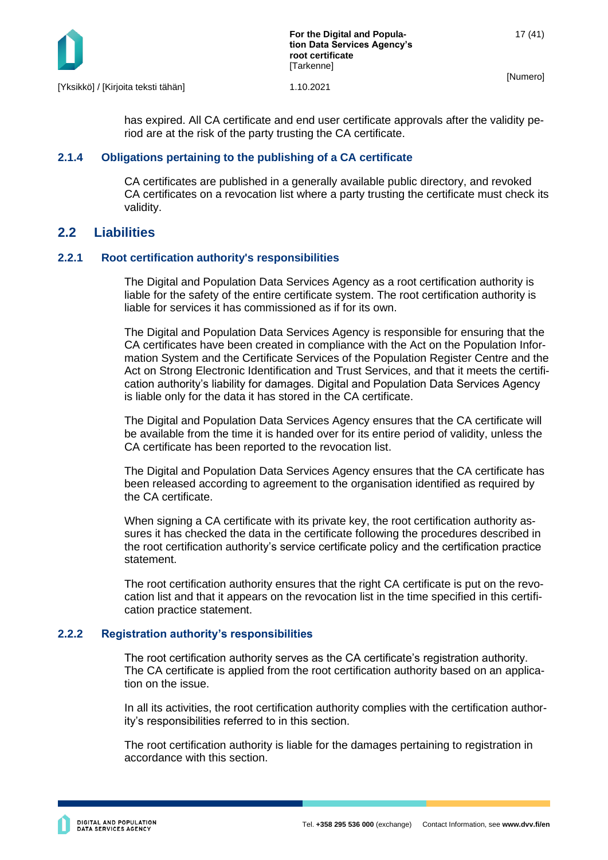

[Yksikkö] / [Kirjoita teksti tähän] 1.10.2021

has expired. All CA certificate and end user certificate approvals after the validity period are at the risk of the party trusting the CA certificate.

#### <span id="page-17-0"></span>**2.1.4 Obligations pertaining to the publishing of a CA certificate**

CA certificates are published in a generally available public directory, and revoked CA certificates on a revocation list where a party trusting the certificate must check its validity.

# <span id="page-17-1"></span>**2.2 Liabilities**

### <span id="page-17-2"></span>**2.2.1 Root certification authority's responsibilities**

The Digital and Population Data Services Agency as a root certification authority is liable for the safety of the entire certificate system. The root certification authority is liable for services it has commissioned as if for its own.

The Digital and Population Data Services Agency is responsible for ensuring that the CA certificates have been created in compliance with the Act on the Population Information System and the Certificate Services of the Population Register Centre and the Act on Strong Electronic Identification and Trust Services, and that it meets the certification authority's liability for damages. Digital and Population Data Services Agency is liable only for the data it has stored in the CA certificate.

The Digital and Population Data Services Agency ensures that the CA certificate will be available from the time it is handed over for its entire period of validity, unless the CA certificate has been reported to the revocation list.

The Digital and Population Data Services Agency ensures that the CA certificate has been released according to agreement to the organisation identified as required by the CA certificate.

When signing a CA certificate with its private key, the root certification authority assures it has checked the data in the certificate following the procedures described in the root certification authority's service certificate policy and the certification practice statement.

The root certification authority ensures that the right CA certificate is put on the revocation list and that it appears on the revocation list in the time specified in this certification practice statement.

#### <span id="page-17-3"></span>**2.2.2 Registration authority's responsibilities**

The root certification authority serves as the CA certificate's registration authority. The CA certificate is applied from the root certification authority based on an application on the issue.

In all its activities, the root certification authority complies with the certification authority's responsibilities referred to in this section.

The root certification authority is liable for the damages pertaining to registration in accordance with this section.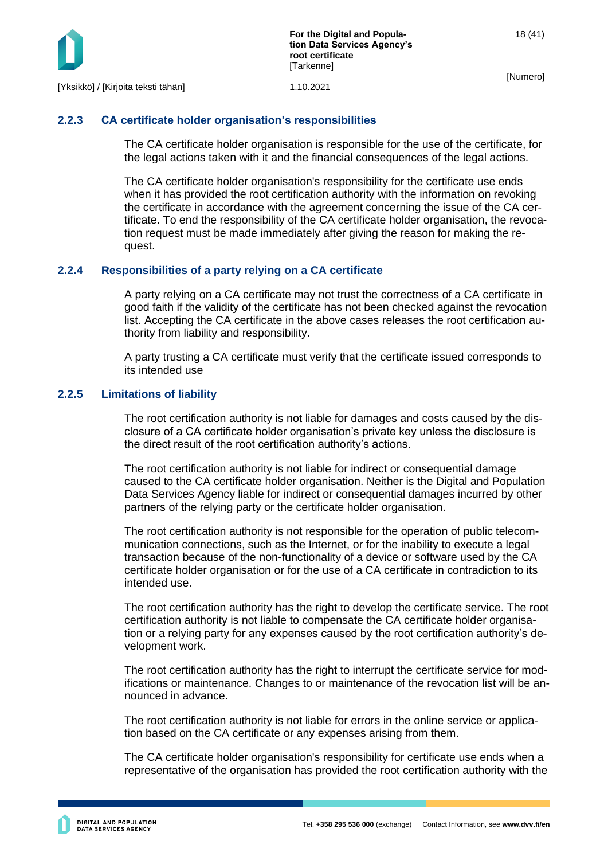

### <span id="page-18-0"></span>**2.2.3 CA certificate holder organisation's responsibilities**

The CA certificate holder organisation is responsible for the use of the certificate, for the legal actions taken with it and the financial consequences of the legal actions.

The CA certificate holder organisation's responsibility for the certificate use ends when it has provided the root certification authority with the information on revoking the certificate in accordance with the agreement concerning the issue of the CA certificate. To end the responsibility of the CA certificate holder organisation, the revocation request must be made immediately after giving the reason for making the request.

#### <span id="page-18-1"></span>**2.2.4 Responsibilities of a party relying on a CA certificate**

A party relying on a CA certificate may not trust the correctness of a CA certificate in good faith if the validity of the certificate has not been checked against the revocation list. Accepting the CA certificate in the above cases releases the root certification authority from liability and responsibility.

A party trusting a CA certificate must verify that the certificate issued corresponds to its intended use

#### <span id="page-18-2"></span>**2.2.5 Limitations of liability**

The root certification authority is not liable for damages and costs caused by the disclosure of a CA certificate holder organisation's private key unless the disclosure is the direct result of the root certification authority's actions.

The root certification authority is not liable for indirect or consequential damage caused to the CA certificate holder organisation. Neither is the Digital and Population Data Services Agency liable for indirect or consequential damages incurred by other partners of the relying party or the certificate holder organisation.

The root certification authority is not responsible for the operation of public telecommunication connections, such as the Internet, or for the inability to execute a legal transaction because of the non-functionality of a device or software used by the CA certificate holder organisation or for the use of a CA certificate in contradiction to its intended use.

The root certification authority has the right to develop the certificate service. The root certification authority is not liable to compensate the CA certificate holder organisation or a relying party for any expenses caused by the root certification authority's development work.

The root certification authority has the right to interrupt the certificate service for modifications or maintenance. Changes to or maintenance of the revocation list will be announced in advance.

The root certification authority is not liable for errors in the online service or application based on the CA certificate or any expenses arising from them.

The CA certificate holder organisation's responsibility for certificate use ends when a representative of the organisation has provided the root certification authority with the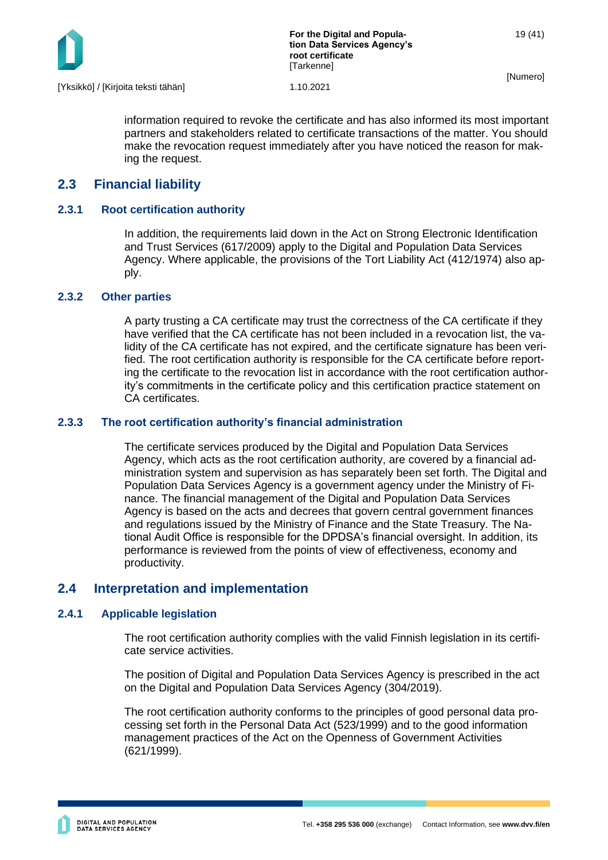

**For the Digital and Population Data Services Agency's root certificate [Tarkenne]** 

[Numero]

information required to revoke the certificate and has also informed its most important partners and stakeholders related to certificate transactions of the matter. You should make the revocation request immediately after you have noticed the reason for making the request.

# <span id="page-19-0"></span>**2.3 Financial liability**

### <span id="page-19-1"></span>**2.3.1 Root certification authority**

In addition, the requirements laid down in the Act on Strong Electronic Identification and Trust Services (617/2009) apply to the Digital and Population Data Services Agency. Where applicable, the provisions of the Tort Liability Act (412/1974) also apply.

#### <span id="page-19-2"></span>**2.3.2 Other parties**

A party trusting a CA certificate may trust the correctness of the CA certificate if they have verified that the CA certificate has not been included in a revocation list, the validity of the CA certificate has not expired, and the certificate signature has been verified. The root certification authority is responsible for the CA certificate before reporting the certificate to the revocation list in accordance with the root certification authority's commitments in the certificate policy and this certification practice statement on CA certificates.

#### <span id="page-19-3"></span>**2.3.3 The root certification authority's financial administration**

The certificate services produced by the Digital and Population Data Services Agency, which acts as the root certification authority, are covered by a financial administration system and supervision as has separately been set forth. The Digital and Population Data Services Agency is a government agency under the Ministry of Finance. The financial management of the Digital and Population Data Services Agency is based on the acts and decrees that govern central government finances and regulations issued by the Ministry of Finance and the State Treasury. The National Audit Office is responsible for the DPDSA's financial oversight. In addition, its performance is reviewed from the points of view of effectiveness, economy and productivity.

# <span id="page-19-4"></span>**2.4 Interpretation and implementation**

#### <span id="page-19-5"></span>**2.4.1 Applicable legislation**

The root certification authority complies with the valid Finnish legislation in its certificate service activities.

The position of Digital and Population Data Services Agency is prescribed in the act on the Digital and Population Data Services Agency (304/2019).

The root certification authority conforms to the principles of good personal data processing set forth in the Personal Data Act (523/1999) and to the good information management practices of the Act on the Openness of Government Activities (621/1999).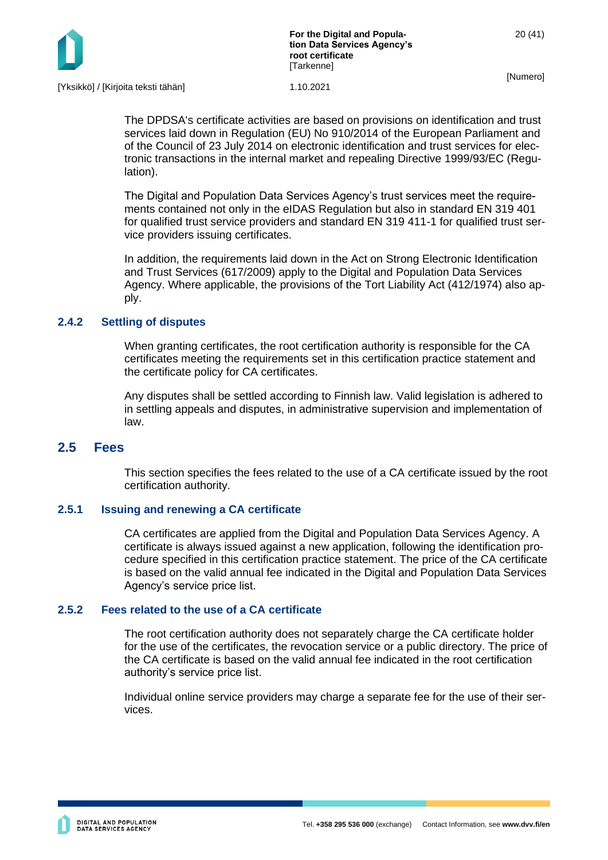

The DPDSA's certificate activities are based on provisions on identification and trust services laid down in Regulation (EU) No 910/2014 of the European Parliament and of the Council of 23 July 2014 on electronic identification and trust services for electronic transactions in the internal market and repealing Directive 1999/93/EC (Regulation).

The Digital and Population Data Services Agency's trust services meet the requirements contained not only in the eIDAS Regulation but also in standard EN 319 401 for qualified trust service providers and standard EN 319 411-1 for qualified trust service providers issuing certificates.

In addition, the requirements laid down in the Act on Strong Electronic Identification and Trust Services (617/2009) apply to the Digital and Population Data Services Agency. Where applicable, the provisions of the Tort Liability Act (412/1974) also apply.

#### <span id="page-20-0"></span>**2.4.2 Settling of disputes**

When granting certificates, the root certification authority is responsible for the CA certificates meeting the requirements set in this certification practice statement and the certificate policy for CA certificates.

Any disputes shall be settled according to Finnish law. Valid legislation is adhered to in settling appeals and disputes, in administrative supervision and implementation of law.

# <span id="page-20-1"></span>**2.5 Fees**

This section specifies the fees related to the use of a CA certificate issued by the root certification authority.

#### <span id="page-20-2"></span>**2.5.1 Issuing and renewing a CA certificate**

CA certificates are applied from the Digital and Population Data Services Agency. A certificate is always issued against a new application, following the identification procedure specified in this certification practice statement. The price of the CA certificate is based on the valid annual fee indicated in the Digital and Population Data Services Agency's service price list.

#### <span id="page-20-3"></span>**2.5.2 Fees related to the use of a CA certificate**

The root certification authority does not separately charge the CA certificate holder for the use of the certificates, the revocation service or a public directory. The price of the CA certificate is based on the valid annual fee indicated in the root certification authority's service price list.

Individual online service providers may charge a separate fee for the use of their services.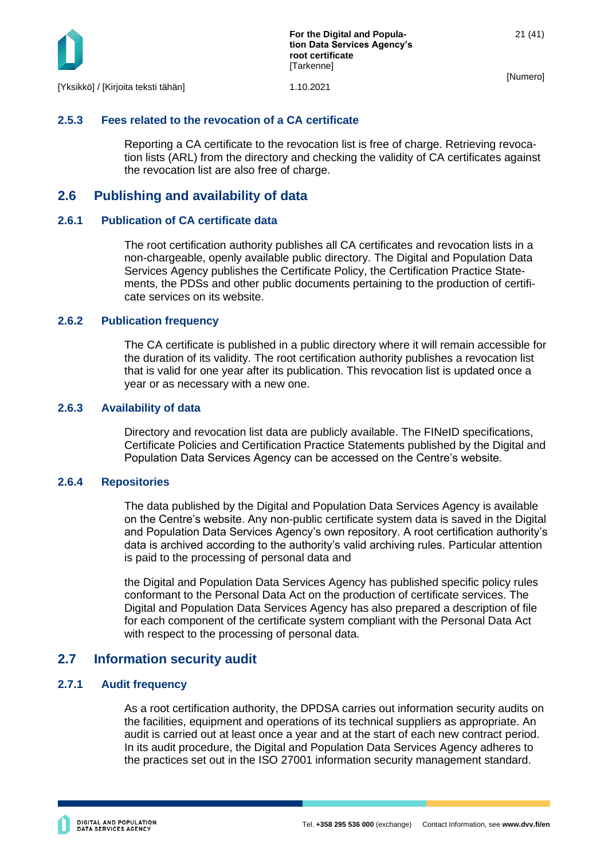

#### <span id="page-21-0"></span>**2.5.3 Fees related to the revocation of a CA certificate**

Reporting a CA certificate to the revocation list is free of charge. Retrieving revocation lists (ARL) from the directory and checking the validity of CA certificates against the revocation list are also free of charge.

# <span id="page-21-1"></span>**2.6 Publishing and availability of data**

#### <span id="page-21-2"></span>**2.6.1 Publication of CA certificate data**

The root certification authority publishes all CA certificates and revocation lists in a non-chargeable, openly available public directory. The Digital and Population Data Services Agency publishes the Certificate Policy, the Certification Practice Statements, the PDSs and other public documents pertaining to the production of certificate services on its website.

#### <span id="page-21-3"></span>**2.6.2 Publication frequency**

The CA certificate is published in a public directory where it will remain accessible for the duration of its validity. The root certification authority publishes a revocation list that is valid for one year after its publication. This revocation list is updated once a year or as necessary with a new one.

#### <span id="page-21-4"></span>**2.6.3 Availability of data**

Directory and revocation list data are publicly available. The FINeID specifications, Certificate Policies and Certification Practice Statements published by the Digital and Population Data Services Agency can be accessed on the Centre's website.

#### <span id="page-21-5"></span>**2.6.4 Repositories**

The data published by the Digital and Population Data Services Agency is available on the Centre's website. Any non-public certificate system data is saved in the Digital and Population Data Services Agency's own repository. A root certification authority's data is archived according to the authority's valid archiving rules. Particular attention is paid to the processing of personal data and

the Digital and Population Data Services Agency has published specific policy rules conformant to the Personal Data Act on the production of certificate services. The Digital and Population Data Services Agency has also prepared a description of file for each component of the certificate system compliant with the Personal Data Act with respect to the processing of personal data.

# <span id="page-21-6"></span>**2.7 Information security audit**

#### <span id="page-21-7"></span>**2.7.1 Audit frequency**

As a root certification authority, the DPDSA carries out information security audits on the facilities, equipment and operations of its technical suppliers as appropriate. An audit is carried out at least once a year and at the start of each new contract period. In its audit procedure, the Digital and Population Data Services Agency adheres to the practices set out in the ISO 27001 information security management standard.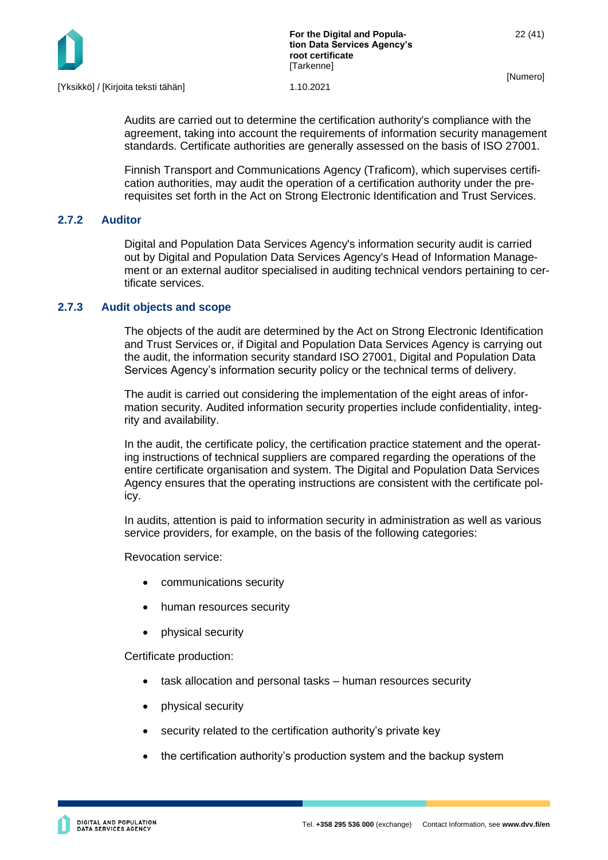

Audits are carried out to determine the certification authority's compliance with the agreement, taking into account the requirements of information security management standards. Certificate authorities are generally assessed on the basis of ISO 27001.

Finnish Transport and Communications Agency (Traficom), which supervises certification authorities, may audit the operation of a certification authority under the prerequisites set forth in the Act on Strong Electronic Identification and Trust Services.

### <span id="page-22-0"></span>**2.7.2 Auditor**

Digital and Population Data Services Agency's information security audit is carried out by Digital and Population Data Services Agency's Head of Information Management or an external auditor specialised in auditing technical vendors pertaining to certificate services.

### <span id="page-22-1"></span>**2.7.3 Audit objects and scope**

The objects of the audit are determined by the Act on Strong Electronic Identification and Trust Services or, if Digital and Population Data Services Agency is carrying out the audit, the information security standard ISO 27001, Digital and Population Data Services Agency's information security policy or the technical terms of delivery.

The audit is carried out considering the implementation of the eight areas of information security. Audited information security properties include confidentiality, integrity and availability.

In the audit, the certificate policy, the certification practice statement and the operating instructions of technical suppliers are compared regarding the operations of the entire certificate organisation and system. The Digital and Population Data Services Agency ensures that the operating instructions are consistent with the certificate policy.

In audits, attention is paid to information security in administration as well as various service providers, for example, on the basis of the following categories:

Revocation service:

- communications security
- human resources security
- physical security

Certificate production:

- task allocation and personal tasks human resources security
- physical security
- security related to the certification authority's private key
- the certification authority's production system and the backup system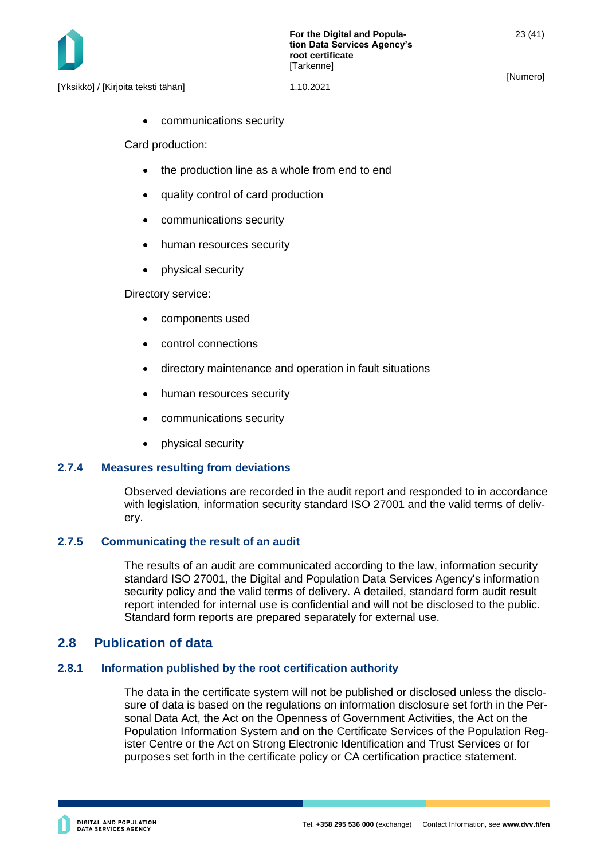

[Yksikkö] / [Kirjoita teksti tähän] 1.10.2021

• communications security

Card production:

- the production line as a whole from end to end
- quality control of card production
- communications security
- human resources security
- physical security

Directory service:

- components used
- control connections
- directory maintenance and operation in fault situations
- human resources security
- communications security
- physical security

#### <span id="page-23-0"></span>**2.7.4 Measures resulting from deviations**

Observed deviations are recorded in the audit report and responded to in accordance with legislation, information security standard ISO 27001 and the valid terms of delivery.

#### <span id="page-23-1"></span>**2.7.5 Communicating the result of an audit**

The results of an audit are communicated according to the law, information security standard ISO 27001, the Digital and Population Data Services Agency's information security policy and the valid terms of delivery. A detailed, standard form audit result report intended for internal use is confidential and will not be disclosed to the public. Standard form reports are prepared separately for external use.

# <span id="page-23-2"></span>**2.8 Publication of data**

#### <span id="page-23-3"></span>**2.8.1 Information published by the root certification authority**

The data in the certificate system will not be published or disclosed unless the disclosure of data is based on the regulations on information disclosure set forth in the Personal Data Act, the Act on the Openness of Government Activities, the Act on the Population Information System and on the Certificate Services of the Population Register Centre or the Act on Strong Electronic Identification and Trust Services or for purposes set forth in the certificate policy or CA certification practice statement.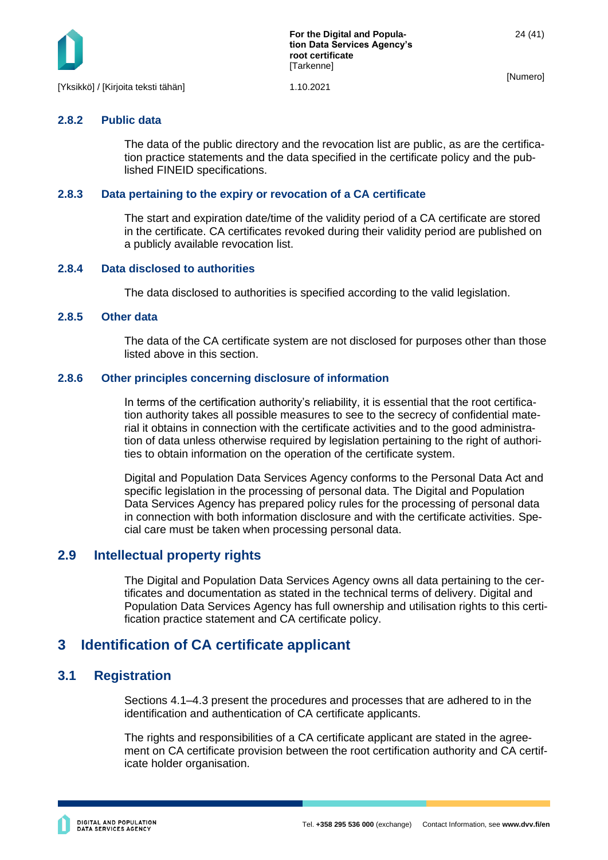

# <span id="page-24-0"></span>**2.8.2 Public data**

The data of the public directory and the revocation list are public, as are the certification practice statements and the data specified in the certificate policy and the published FINEID specifications.

#### <span id="page-24-1"></span>**2.8.3 Data pertaining to the expiry or revocation of a CA certificate**

The start and expiration date/time of the validity period of a CA certificate are stored in the certificate. CA certificates revoked during their validity period are published on a publicly available revocation list.

#### <span id="page-24-2"></span>**2.8.4 Data disclosed to authorities**

The data disclosed to authorities is specified according to the valid legislation.

#### <span id="page-24-3"></span>**2.8.5 Other data**

The data of the CA certificate system are not disclosed for purposes other than those listed above in this section.

#### <span id="page-24-4"></span>**2.8.6 Other principles concerning disclosure of information**

In terms of the certification authority's reliability, it is essential that the root certification authority takes all possible measures to see to the secrecy of confidential material it obtains in connection with the certificate activities and to the good administration of data unless otherwise required by legislation pertaining to the right of authorities to obtain information on the operation of the certificate system.

Digital and Population Data Services Agency conforms to the Personal Data Act and specific legislation in the processing of personal data. The Digital and Population Data Services Agency has prepared policy rules for the processing of personal data in connection with both information disclosure and with the certificate activities. Special care must be taken when processing personal data.

# <span id="page-24-5"></span>**2.9 Intellectual property rights**

The Digital and Population Data Services Agency owns all data pertaining to the certificates and documentation as stated in the technical terms of delivery. Digital and Population Data Services Agency has full ownership and utilisation rights to this certification practice statement and CA certificate policy.

# <span id="page-24-6"></span>**3 Identification of CA certificate applicant**

# <span id="page-24-7"></span>**3.1 Registration**

Sections 4.1–4.3 present the procedures and processes that are adhered to in the identification and authentication of CA certificate applicants.

The rights and responsibilities of a CA certificate applicant are stated in the agreement on CA certificate provision between the root certification authority and CA certificate holder organisation.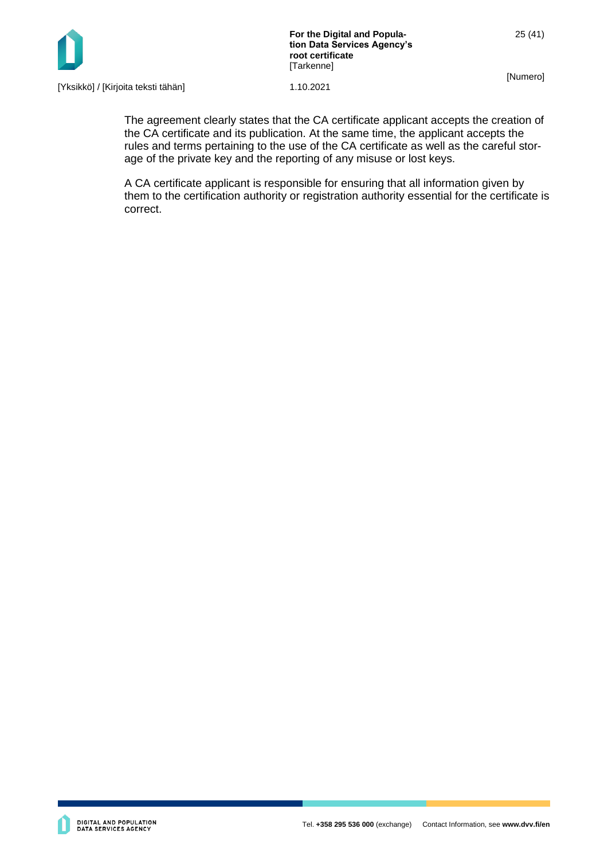

25 (41)

[Numero]

[Yksikkö] / [Kirjoita teksti tähän] 1.10.2021

The agreement clearly states that the CA certificate applicant accepts the creation of the CA certificate and its publication. At the same time, the applicant accepts the rules and terms pertaining to the use of the CA certificate as well as the careful storage of the private key and the reporting of any misuse or lost keys.

A CA certificate applicant is responsible for ensuring that all information given by them to the certification authority or registration authority essential for the certificate is correct.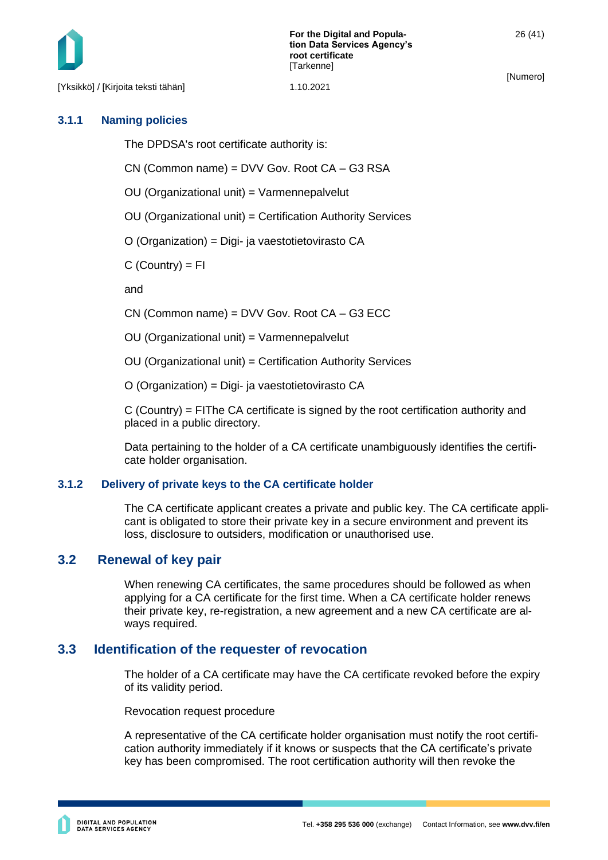[Yksikkö] / [Kirjoita teksti tähän] 1.10.2021

[Numero]

#### <span id="page-26-0"></span>**3.1.1 Naming policies**

The DPDSA's root certificate authority is:

CN (Common name) = DVV Gov. Root CA – G3 RSA

OU (Organizational unit) = Varmennepalvelut

OU (Organizational unit) = Certification Authority Services

O (Organization) = Digi- ja vaestotietovirasto CA

 $C$  (Country) =  $FI$ 

and

CN (Common name) = DVV Gov. Root CA – G3 ECC

OU (Organizational unit) = Varmennepalvelut

OU (Organizational unit) = Certification Authority Services

O (Organization) = Digi- ja vaestotietovirasto CA

 $C$  (Country) = FIThe CA certificate is signed by the root certification authority and placed in a public directory.

Data pertaining to the holder of a CA certificate unambiguously identifies the certificate holder organisation.

#### <span id="page-26-1"></span>**3.1.2 Delivery of private keys to the CA certificate holder**

The CA certificate applicant creates a private and public key. The CA certificate applicant is obligated to store their private key in a secure environment and prevent its loss, disclosure to outsiders, modification or unauthorised use.

# <span id="page-26-2"></span>**3.2 Renewal of key pair**

When renewing CA certificates, the same procedures should be followed as when applying for a CA certificate for the first time. When a CA certificate holder renews their private key, re-registration, a new agreement and a new CA certificate are always required.

# <span id="page-26-3"></span>**3.3 Identification of the requester of revocation**

The holder of a CA certificate may have the CA certificate revoked before the expiry of its validity period.

Revocation request procedure

A representative of the CA certificate holder organisation must notify the root certification authority immediately if it knows or suspects that the CA certificate's private key has been compromised. The root certification authority will then revoke the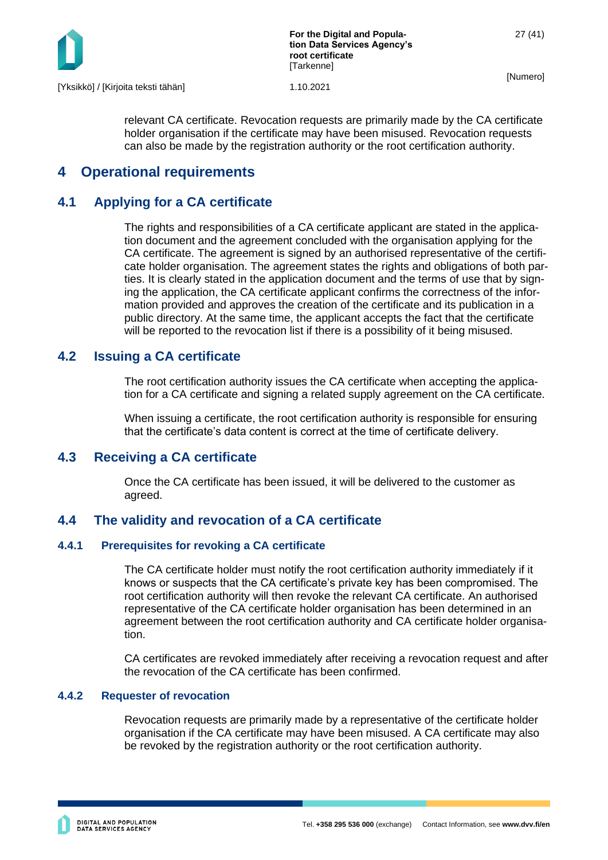

relevant CA certificate. Revocation requests are primarily made by the CA certificate holder organisation if the certificate may have been misused. Revocation requests can also be made by the registration authority or the root certification authority.

# <span id="page-27-0"></span>**4 Operational requirements**

# <span id="page-27-1"></span>**4.1 Applying for a CA certificate**

The rights and responsibilities of a CA certificate applicant are stated in the application document and the agreement concluded with the organisation applying for the CA certificate. The agreement is signed by an authorised representative of the certificate holder organisation. The agreement states the rights and obligations of both parties. It is clearly stated in the application document and the terms of use that by signing the application, the CA certificate applicant confirms the correctness of the information provided and approves the creation of the certificate and its publication in a public directory. At the same time, the applicant accepts the fact that the certificate will be reported to the revocation list if there is a possibility of it being misused.

# <span id="page-27-2"></span>**4.2 Issuing a CA certificate**

The root certification authority issues the CA certificate when accepting the application for a CA certificate and signing a related supply agreement on the CA certificate.

When issuing a certificate, the root certification authority is responsible for ensuring that the certificate's data content is correct at the time of certificate delivery.

# <span id="page-27-3"></span>**4.3 Receiving a CA certificate**

Once the CA certificate has been issued, it will be delivered to the customer as agreed.

# <span id="page-27-4"></span>**4.4 The validity and revocation of a CA certificate**

# <span id="page-27-5"></span>**4.4.1 Prerequisites for revoking a CA certificate**

The CA certificate holder must notify the root certification authority immediately if it knows or suspects that the CA certificate's private key has been compromised. The root certification authority will then revoke the relevant CA certificate. An authorised representative of the CA certificate holder organisation has been determined in an agreement between the root certification authority and CA certificate holder organisation.

CA certificates are revoked immediately after receiving a revocation request and after the revocation of the CA certificate has been confirmed.

#### <span id="page-27-6"></span>**4.4.2 Requester of revocation**

Revocation requests are primarily made by a representative of the certificate holder organisation if the CA certificate may have been misused. A CA certificate may also be revoked by the registration authority or the root certification authority.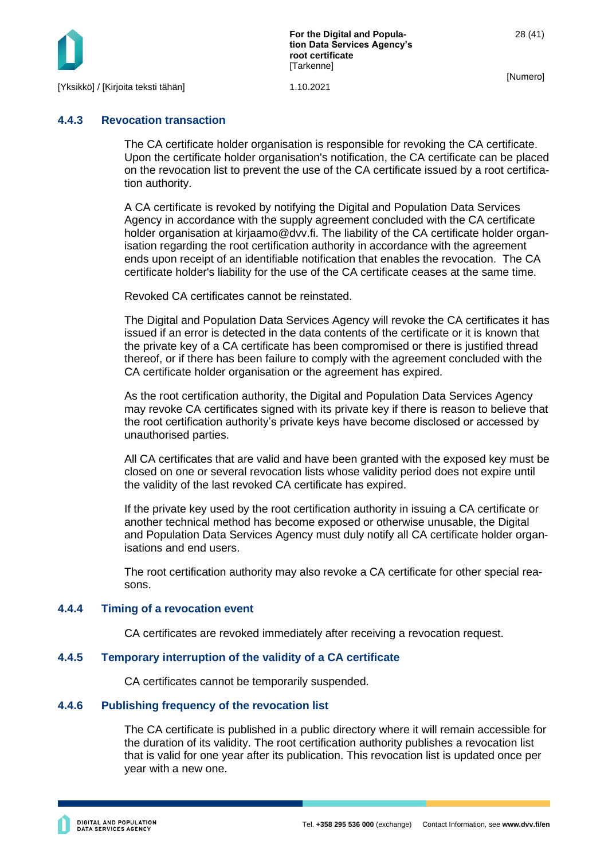

**For the Digital and Population Data Services Agency's root certificate [Tarkenne]** 

[Numero]

#### <span id="page-28-0"></span>**4.4.3 Revocation transaction**

The CA certificate holder organisation is responsible for revoking the CA certificate. Upon the certificate holder organisation's notification, the CA certificate can be placed on the revocation list to prevent the use of the CA certificate issued by a root certification authority.

A CA certificate is revoked by notifying the Digital and Population Data Services Agency in accordance with the supply agreement concluded with the CA certificate holder organisation at kirjaamo@dvv.fi. The liability of the CA certificate holder organisation regarding the root certification authority in accordance with the agreement ends upon receipt of an identifiable notification that enables the revocation. The CA certificate holder's liability for the use of the CA certificate ceases at the same time.

Revoked CA certificates cannot be reinstated.

The Digital and Population Data Services Agency will revoke the CA certificates it has issued if an error is detected in the data contents of the certificate or it is known that the private key of a CA certificate has been compromised or there is justified thread thereof, or if there has been failure to comply with the agreement concluded with the CA certificate holder organisation or the agreement has expired.

As the root certification authority, the Digital and Population Data Services Agency may revoke CA certificates signed with its private key if there is reason to believe that the root certification authority's private keys have become disclosed or accessed by unauthorised parties.

All CA certificates that are valid and have been granted with the exposed key must be closed on one or several revocation lists whose validity period does not expire until the validity of the last revoked CA certificate has expired.

If the private key used by the root certification authority in issuing a CA certificate or another technical method has become exposed or otherwise unusable, the Digital and Population Data Services Agency must duly notify all CA certificate holder organisations and end users.

The root certification authority may also revoke a CA certificate for other special reasons.

#### <span id="page-28-1"></span>**4.4.4 Timing of a revocation event**

CA certificates are revoked immediately after receiving a revocation request.

#### <span id="page-28-2"></span>**4.4.5 Temporary interruption of the validity of a CA certificate**

CA certificates cannot be temporarily suspended.

#### <span id="page-28-3"></span>**4.4.6 Publishing frequency of the revocation list**

The CA certificate is published in a public directory where it will remain accessible for the duration of its validity. The root certification authority publishes a revocation list that is valid for one year after its publication. This revocation list is updated once per year with a new one.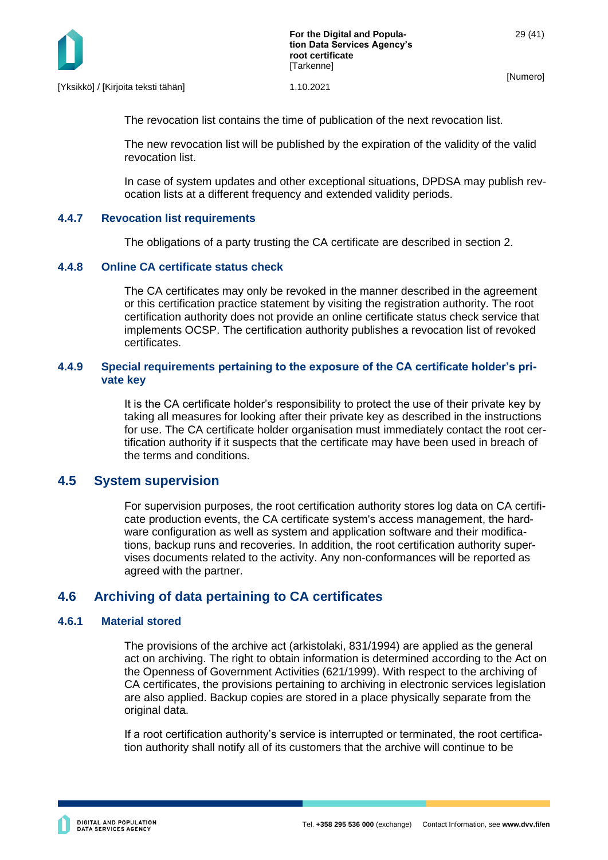

The revocation list contains the time of publication of the next revocation list.

The new revocation list will be published by the expiration of the validity of the valid revocation list.

In case of system updates and other exceptional situations, DPDSA may publish revocation lists at a different frequency and extended validity periods.

#### <span id="page-29-0"></span>**4.4.7 Revocation list requirements**

The obligations of a party trusting the CA certificate are described in section 2.

#### <span id="page-29-1"></span>**4.4.8 Online CA certificate status check**

The CA certificates may only be revoked in the manner described in the agreement or this certification practice statement by visiting the registration authority. The root certification authority does not provide an online certificate status check service that implements OCSP. The certification authority publishes a revocation list of revoked certificates.

#### <span id="page-29-2"></span>**4.4.9 Special requirements pertaining to the exposure of the CA certificate holder's private key**

It is the CA certificate holder's responsibility to protect the use of their private key by taking all measures for looking after their private key as described in the instructions for use. The CA certificate holder organisation must immediately contact the root certification authority if it suspects that the certificate may have been used in breach of the terms and conditions.

#### <span id="page-29-3"></span>**4.5 System supervision**

For supervision purposes, the root certification authority stores log data on CA certificate production events, the CA certificate system's access management, the hardware configuration as well as system and application software and their modifications, backup runs and recoveries. In addition, the root certification authority supervises documents related to the activity. Any non-conformances will be reported as agreed with the partner.

# <span id="page-29-4"></span>**4.6 Archiving of data pertaining to CA certificates**

#### <span id="page-29-5"></span>**4.6.1 Material stored**

The provisions of the archive act (arkistolaki, 831/1994) are applied as the general act on archiving. The right to obtain information is determined according to the Act on the Openness of Government Activities (621/1999). With respect to the archiving of CA certificates, the provisions pertaining to archiving in electronic services legislation are also applied. Backup copies are stored in a place physically separate from the original data.

If a root certification authority's service is interrupted or terminated, the root certification authority shall notify all of its customers that the archive will continue to be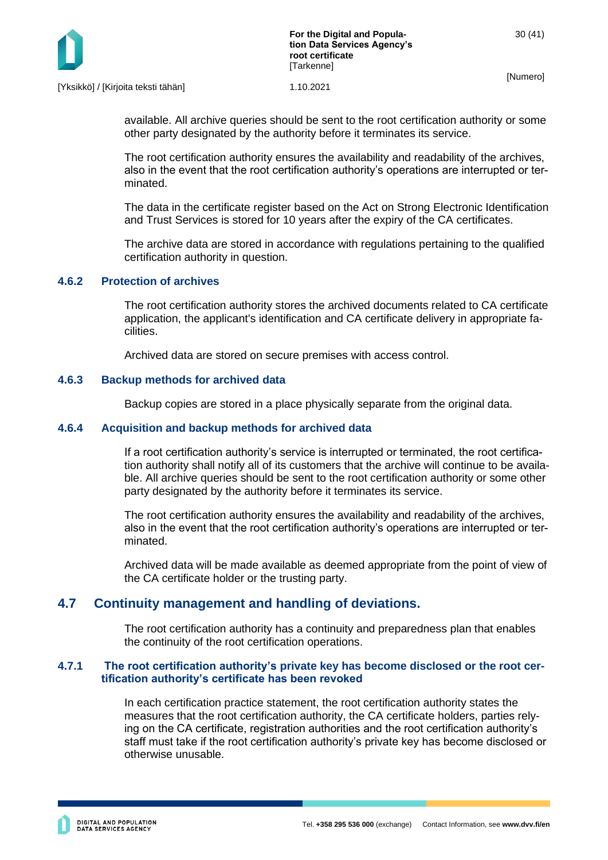

available. All archive queries should be sent to the root certification authority or some other party designated by the authority before it terminates its service.

The root certification authority ensures the availability and readability of the archives, also in the event that the root certification authority's operations are interrupted or terminated.

The data in the certificate register based on the Act on Strong Electronic Identification and Trust Services is stored for 10 years after the expiry of the CA certificates.

The archive data are stored in accordance with regulations pertaining to the qualified certification authority in question.

#### <span id="page-30-0"></span>**4.6.2 Protection of archives**

The root certification authority stores the archived documents related to CA certificate application, the applicant's identification and CA certificate delivery in appropriate facilities.

Archived data are stored on secure premises with access control.

#### <span id="page-30-1"></span>**4.6.3 Backup methods for archived data**

Backup copies are stored in a place physically separate from the original data.

#### <span id="page-30-2"></span>**4.6.4 Acquisition and backup methods for archived data**

If a root certification authority's service is interrupted or terminated, the root certification authority shall notify all of its customers that the archive will continue to be available. All archive queries should be sent to the root certification authority or some other party designated by the authority before it terminates its service.

The root certification authority ensures the availability and readability of the archives, also in the event that the root certification authority's operations are interrupted or terminated.

Archived data will be made available as deemed appropriate from the point of view of the CA certificate holder or the trusting party.

# <span id="page-30-3"></span>**4.7 Continuity management and handling of deviations.**

<span id="page-30-4"></span>The root certification authority has a continuity and preparedness plan that enables the continuity of the root certification operations.

#### **4.7.1 The root certification authority's private key has become disclosed or the root certification authority's certificate has been revoked**

In each certification practice statement, the root certification authority states the measures that the root certification authority, the CA certificate holders, parties relying on the CA certificate, registration authorities and the root certification authority's staff must take if the root certification authority's private key has become disclosed or otherwise unusable.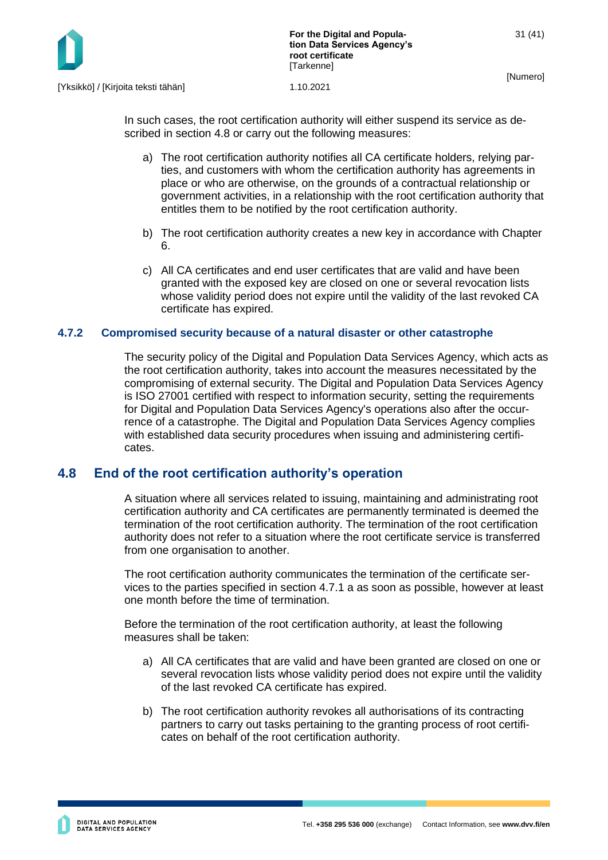

In such cases, the root certification authority will either suspend its service as described in section 4.8 or carry out the following measures:

- a) The root certification authority notifies all CA certificate holders, relying parties, and customers with whom the certification authority has agreements in place or who are otherwise, on the grounds of a contractual relationship or government activities, in a relationship with the root certification authority that entitles them to be notified by the root certification authority.
- b) The root certification authority creates a new key in accordance with Chapter 6.
- c) All CA certificates and end user certificates that are valid and have been granted with the exposed key are closed on one or several revocation lists whose validity period does not expire until the validity of the last revoked CA certificate has expired.

#### <span id="page-31-0"></span>**4.7.2 Compromised security because of a natural disaster or other catastrophe**

The security policy of the Digital and Population Data Services Agency, which acts as the root certification authority, takes into account the measures necessitated by the compromising of external security. The Digital and Population Data Services Agency is ISO 27001 certified with respect to information security, setting the requirements for Digital and Population Data Services Agency's operations also after the occurrence of a catastrophe. The Digital and Population Data Services Agency complies with established data security procedures when issuing and administering certificates.

# <span id="page-31-1"></span>**4.8 End of the root certification authority's operation**

A situation where all services related to issuing, maintaining and administrating root certification authority and CA certificates are permanently terminated is deemed the termination of the root certification authority. The termination of the root certification authority does not refer to a situation where the root certificate service is transferred from one organisation to another.

The root certification authority communicates the termination of the certificate services to the parties specified in section 4.7.1 a as soon as possible, however at least one month before the time of termination.

Before the termination of the root certification authority, at least the following measures shall be taken:

- a) All CA certificates that are valid and have been granted are closed on one or several revocation lists whose validity period does not expire until the validity of the last revoked CA certificate has expired.
- b) The root certification authority revokes all authorisations of its contracting partners to carry out tasks pertaining to the granting process of root certificates on behalf of the root certification authority.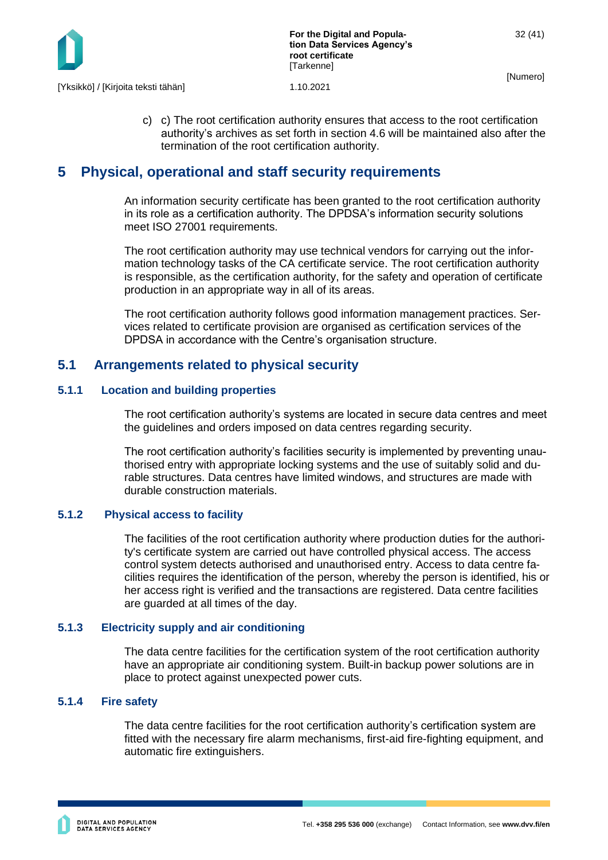

c) c) The root certification authority ensures that access to the root certification authority's archives as set forth in section 4.6 will be maintained also after the termination of the root certification authority.

# <span id="page-32-0"></span>**5 Physical, operational and staff security requirements**

An information security certificate has been granted to the root certification authority in its role as a certification authority. The DPDSA's information security solutions meet ISO 27001 requirements.

The root certification authority may use technical vendors for carrying out the information technology tasks of the CA certificate service. The root certification authority is responsible, as the certification authority, for the safety and operation of certificate production in an appropriate way in all of its areas.

The root certification authority follows good information management practices. Services related to certificate provision are organised as certification services of the DPDSA in accordance with the Centre's organisation structure.

# <span id="page-32-1"></span>**5.1 Arrangements related to physical security**

#### <span id="page-32-2"></span>**5.1.1 Location and building properties**

The root certification authority's systems are located in secure data centres and meet the guidelines and orders imposed on data centres regarding security.

The root certification authority's facilities security is implemented by preventing unauthorised entry with appropriate locking systems and the use of suitably solid and durable structures. Data centres have limited windows, and structures are made with durable construction materials.

#### **5.1.2 Physical access to facility**

<span id="page-32-3"></span>The facilities of the root certification authority where production duties for the authority's certificate system are carried out have controlled physical access. The access control system detects authorised and unauthorised entry. Access to data centre facilities requires the identification of the person, whereby the person is identified, his or her access right is verified and the transactions are registered. Data centre facilities are guarded at all times of the day.

#### <span id="page-32-4"></span>**5.1.3 Electricity supply and air conditioning**

The data centre facilities for the certification system of the root certification authority have an appropriate air conditioning system. Built-in backup power solutions are in place to protect against unexpected power cuts.

#### <span id="page-32-5"></span>**5.1.4 Fire safety**

The data centre facilities for the root certification authority's certification system are fitted with the necessary fire alarm mechanisms, first-aid fire-fighting equipment, and automatic fire extinguishers.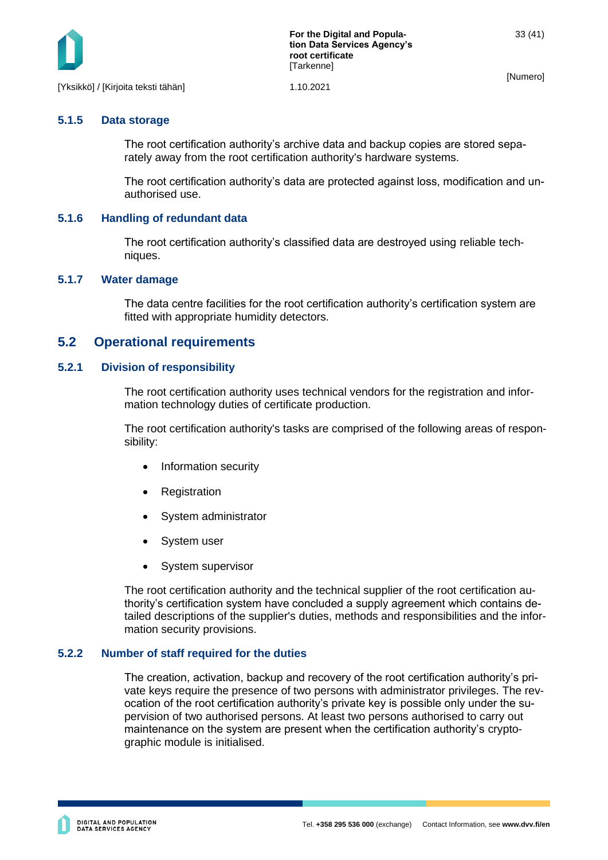

# <span id="page-33-0"></span>**5.1.5 Data storage**

The root certification authority's archive data and backup copies are stored separately away from the root certification authority's hardware systems.

The root certification authority's data are protected against loss, modification and unauthorised use.

#### <span id="page-33-1"></span>**5.1.6 Handling of redundant data**

The root certification authority's classified data are destroyed using reliable techniques.

#### <span id="page-33-2"></span>**5.1.7 Water damage**

The data centre facilities for the root certification authority's certification system are fitted with appropriate humidity detectors.

### <span id="page-33-3"></span>**5.2 Operational requirements**

#### <span id="page-33-4"></span>**5.2.1 Division of responsibility**

The root certification authority uses technical vendors for the registration and information technology duties of certificate production.

The root certification authority's tasks are comprised of the following areas of responsibility:

- Information security
- **Registration**
- System administrator
- System user
- System supervisor

The root certification authority and the technical supplier of the root certification authority's certification system have concluded a supply agreement which contains detailed descriptions of the supplier's duties, methods and responsibilities and the information security provisions.

#### <span id="page-33-5"></span>**5.2.2 Number of staff required for the duties**

The creation, activation, backup and recovery of the root certification authority's private keys require the presence of two persons with administrator privileges. The revocation of the root certification authority's private key is possible only under the supervision of two authorised persons. At least two persons authorised to carry out maintenance on the system are present when the certification authority's cryptographic module is initialised.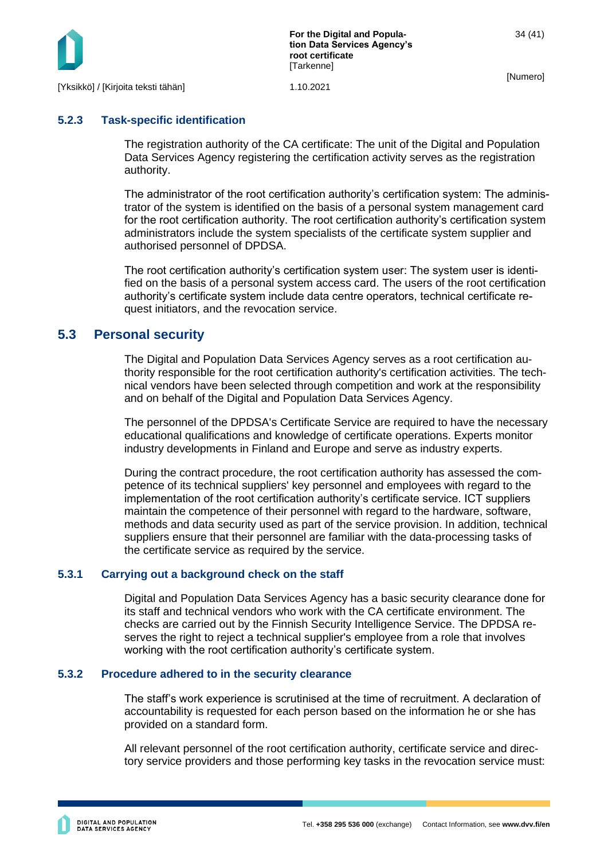

### <span id="page-34-0"></span>**5.2.3 Task-specific identification**

The registration authority of the CA certificate: The unit of the Digital and Population Data Services Agency registering the certification activity serves as the registration authority.

The administrator of the root certification authority's certification system: The administrator of the system is identified on the basis of a personal system management card for the root certification authority. The root certification authority's certification system administrators include the system specialists of the certificate system supplier and authorised personnel of DPDSA.

The root certification authority's certification system user: The system user is identified on the basis of a personal system access card. The users of the root certification authority's certificate system include data centre operators, technical certificate request initiators, and the revocation service.

# <span id="page-34-1"></span>**5.3 Personal security**

The Digital and Population Data Services Agency serves as a root certification authority responsible for the root certification authority's certification activities. The technical vendors have been selected through competition and work at the responsibility and on behalf of the Digital and Population Data Services Agency.

The personnel of the DPDSA's Certificate Service are required to have the necessary educational qualifications and knowledge of certificate operations. Experts monitor industry developments in Finland and Europe and serve as industry experts.

During the contract procedure, the root certification authority has assessed the competence of its technical suppliers' key personnel and employees with regard to the implementation of the root certification authority's certificate service. ICT suppliers maintain the competence of their personnel with regard to the hardware, software, methods and data security used as part of the service provision. In addition, technical suppliers ensure that their personnel are familiar with the data-processing tasks of the certificate service as required by the service.

#### <span id="page-34-2"></span>**5.3.1 Carrying out a background check on the staff**

Digital and Population Data Services Agency has a basic security clearance done for its staff and technical vendors who work with the CA certificate environment. The checks are carried out by the Finnish Security Intelligence Service. The DPDSA reserves the right to reject a technical supplier's employee from a role that involves working with the root certification authority's certificate system.

#### <span id="page-34-3"></span>**5.3.2 Procedure adhered to in the security clearance**

The staff's work experience is scrutinised at the time of recruitment. A declaration of accountability is requested for each person based on the information he or she has provided on a standard form.

All relevant personnel of the root certification authority, certificate service and directory service providers and those performing key tasks in the revocation service must: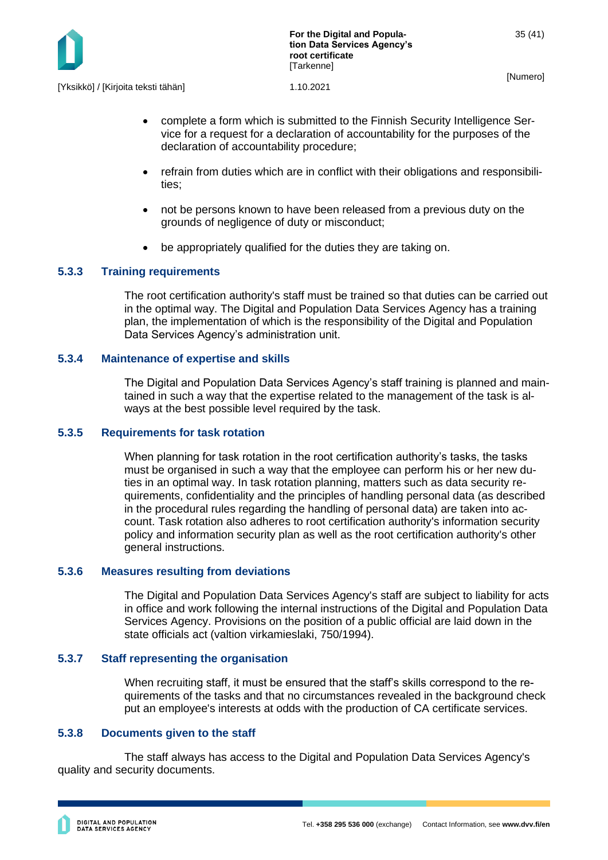

• complete a form which is submitted to the Finnish Security Intelligence Service for a request for a declaration of accountability for the purposes of the declaration of accountability procedure;

- refrain from duties which are in conflict with their obligations and responsibilities;
- not be persons known to have been released from a previous duty on the grounds of negligence of duty or misconduct;
- be appropriately qualified for the duties they are taking on.

#### <span id="page-35-0"></span>**5.3.3 Training requirements**

The root certification authority's staff must be trained so that duties can be carried out in the optimal way. The Digital and Population Data Services Agency has a training plan, the implementation of which is the responsibility of the Digital and Population Data Services Agency's administration unit.

#### <span id="page-35-1"></span>**5.3.4 Maintenance of expertise and skills**

The Digital and Population Data Services Agency's staff training is planned and maintained in such a way that the expertise related to the management of the task is always at the best possible level required by the task.

#### <span id="page-35-2"></span>**5.3.5 Requirements for task rotation**

When planning for task rotation in the root certification authority's tasks, the tasks must be organised in such a way that the employee can perform his or her new duties in an optimal way. In task rotation planning, matters such as data security requirements, confidentiality and the principles of handling personal data (as described in the procedural rules regarding the handling of personal data) are taken into account. Task rotation also adheres to root certification authority's information security policy and information security plan as well as the root certification authority's other general instructions.

#### <span id="page-35-3"></span>**5.3.6 Measures resulting from deviations**

The Digital and Population Data Services Agency's staff are subject to liability for acts in office and work following the internal instructions of the Digital and Population Data Services Agency. Provisions on the position of a public official are laid down in the state officials act (valtion virkamieslaki, 750/1994).

#### <span id="page-35-4"></span>**5.3.7 Staff representing the organisation**

When recruiting staff, it must be ensured that the staff's skills correspond to the requirements of the tasks and that no circumstances revealed in the background check put an employee's interests at odds with the production of CA certificate services.

#### <span id="page-35-5"></span>**5.3.8 Documents given to the staff**

The staff always has access to the Digital and Population Data Services Agency's quality and security documents.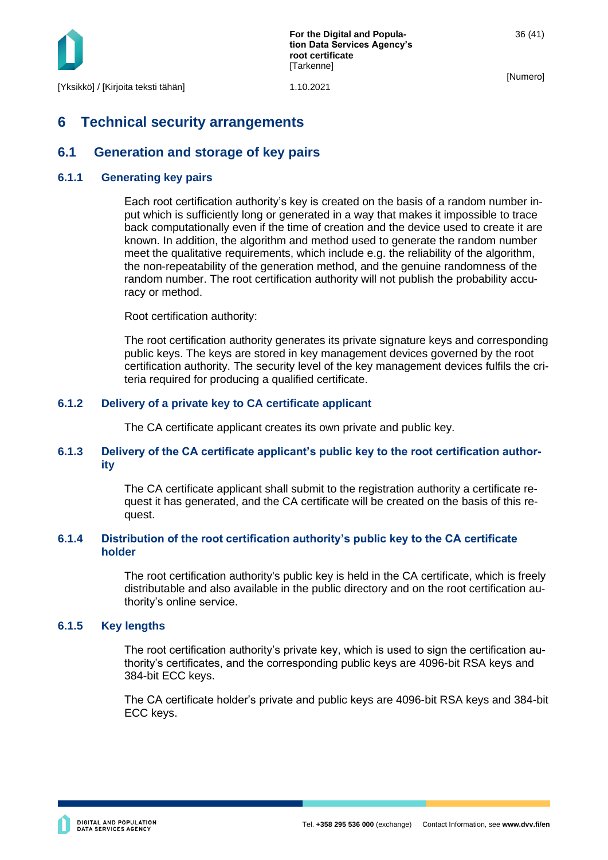

# <span id="page-36-0"></span>**6 Technical security arrangements**

# <span id="page-36-1"></span>**6.1 Generation and storage of key pairs**

#### <span id="page-36-2"></span>**6.1.1 Generating key pairs**

Each root certification authority's key is created on the basis of a random number input which is sufficiently long or generated in a way that makes it impossible to trace back computationally even if the time of creation and the device used to create it are known. In addition, the algorithm and method used to generate the random number meet the qualitative requirements, which include e.g. the reliability of the algorithm, the non-repeatability of the generation method, and the genuine randomness of the random number. The root certification authority will not publish the probability accuracy or method.

Root certification authority:

The root certification authority generates its private signature keys and corresponding public keys. The keys are stored in key management devices governed by the root certification authority. The security level of the key management devices fulfils the criteria required for producing a qualified certificate.

#### <span id="page-36-3"></span>**6.1.2 Delivery of a private key to CA certificate applicant**

The CA certificate applicant creates its own private and public key.

#### <span id="page-36-4"></span>**6.1.3 Delivery of the CA certificate applicant's public key to the root certification authority**

The CA certificate applicant shall submit to the registration authority a certificate request it has generated, and the CA certificate will be created on the basis of this request.

#### <span id="page-36-5"></span>**6.1.4 Distribution of the root certification authority's public key to the CA certificate holder**

The root certification authority's public key is held in the CA certificate, which is freely distributable and also available in the public directory and on the root certification authority's online service.

#### <span id="page-36-6"></span>**6.1.5 Key lengths**

The root certification authority's private key, which is used to sign the certification authority's certificates, and the corresponding public keys are 4096-bit RSA keys and 384-bit ECC keys.

The CA certificate holder's private and public keys are 4096-bit RSA keys and 384-bit ECC keys.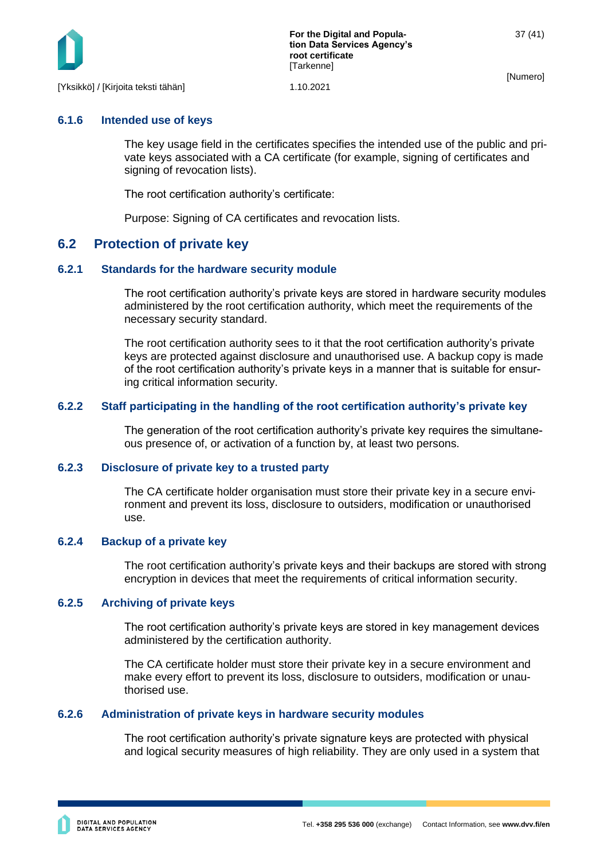

# <span id="page-37-0"></span>**6.1.6 Intended use of keys**

The key usage field in the certificates specifies the intended use of the public and private keys associated with a CA certificate (for example, signing of certificates and signing of revocation lists).

The root certification authority's certificate:

Purpose: Signing of CA certificates and revocation lists.

# <span id="page-37-1"></span>**6.2 Protection of private key**

#### <span id="page-37-2"></span>**6.2.1 Standards for the hardware security module**

The root certification authority's private keys are stored in hardware security modules administered by the root certification authority, which meet the requirements of the necessary security standard.

The root certification authority sees to it that the root certification authority's private keys are protected against disclosure and unauthorised use. A backup copy is made of the root certification authority's private keys in a manner that is suitable for ensuring critical information security.

#### <span id="page-37-3"></span>**6.2.2 Staff participating in the handling of the root certification authority's private key**

The generation of the root certification authority's private key requires the simultaneous presence of, or activation of a function by, at least two persons.

#### <span id="page-37-4"></span>**6.2.3 Disclosure of private key to a trusted party**

The CA certificate holder organisation must store their private key in a secure environment and prevent its loss, disclosure to outsiders, modification or unauthorised use.

#### <span id="page-37-5"></span>**6.2.4 Backup of a private key**

The root certification authority's private keys and their backups are stored with strong encryption in devices that meet the requirements of critical information security.

#### <span id="page-37-6"></span>**6.2.5 Archiving of private keys**

The root certification authority's private keys are stored in key management devices administered by the certification authority.

The CA certificate holder must store their private key in a secure environment and make every effort to prevent its loss, disclosure to outsiders, modification or unauthorised use.

#### <span id="page-37-7"></span>**6.2.6 Administration of private keys in hardware security modules**

The root certification authority's private signature keys are protected with physical and logical security measures of high reliability. They are only used in a system that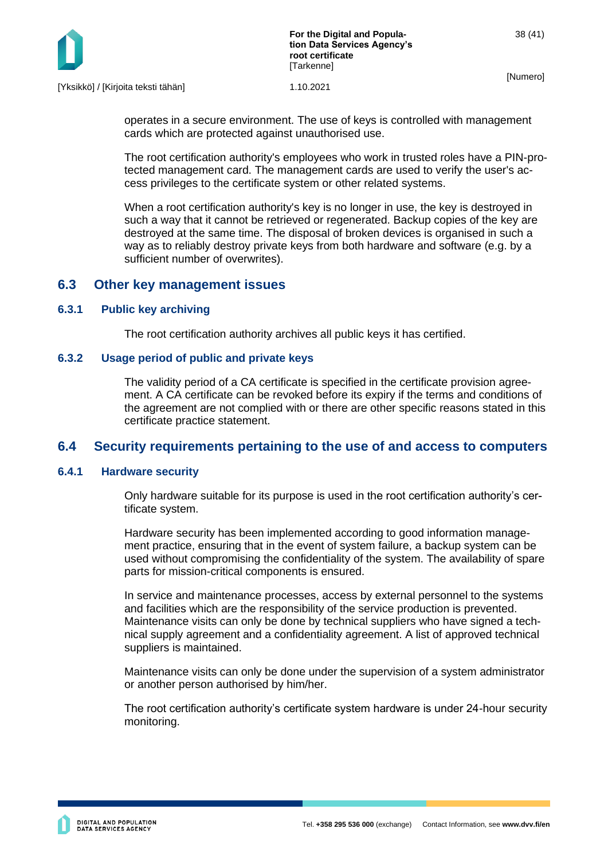

operates in a secure environment. The use of keys is controlled with management cards which are protected against unauthorised use.

The root certification authority's employees who work in trusted roles have a PIN-protected management card. The management cards are used to verify the user's access privileges to the certificate system or other related systems.

When a root certification authority's key is no longer in use, the key is destroyed in such a way that it cannot be retrieved or regenerated. Backup copies of the key are destroyed at the same time. The disposal of broken devices is organised in such a way as to reliably destroy private keys from both hardware and software (e.g. by a sufficient number of overwrites).

### <span id="page-38-0"></span>**6.3 Other key management issues**

#### <span id="page-38-1"></span>**6.3.1 Public key archiving**

The root certification authority archives all public keys it has certified.

#### <span id="page-38-2"></span>**6.3.2 Usage period of public and private keys**

The validity period of a CA certificate is specified in the certificate provision agreement. A CA certificate can be revoked before its expiry if the terms and conditions of the agreement are not complied with or there are other specific reasons stated in this certificate practice statement.

# <span id="page-38-3"></span>**6.4 Security requirements pertaining to the use of and access to computers**

#### <span id="page-38-4"></span>**6.4.1 Hardware security**

Only hardware suitable for its purpose is used in the root certification authority's certificate system.

Hardware security has been implemented according to good information management practice, ensuring that in the event of system failure, a backup system can be used without compromising the confidentiality of the system. The availability of spare parts for mission-critical components is ensured.

In service and maintenance processes, access by external personnel to the systems and facilities which are the responsibility of the service production is prevented. Maintenance visits can only be done by technical suppliers who have signed a technical supply agreement and a confidentiality agreement. A list of approved technical suppliers is maintained.

Maintenance visits can only be done under the supervision of a system administrator or another person authorised by him/her.

The root certification authority's certificate system hardware is under 24-hour security monitoring.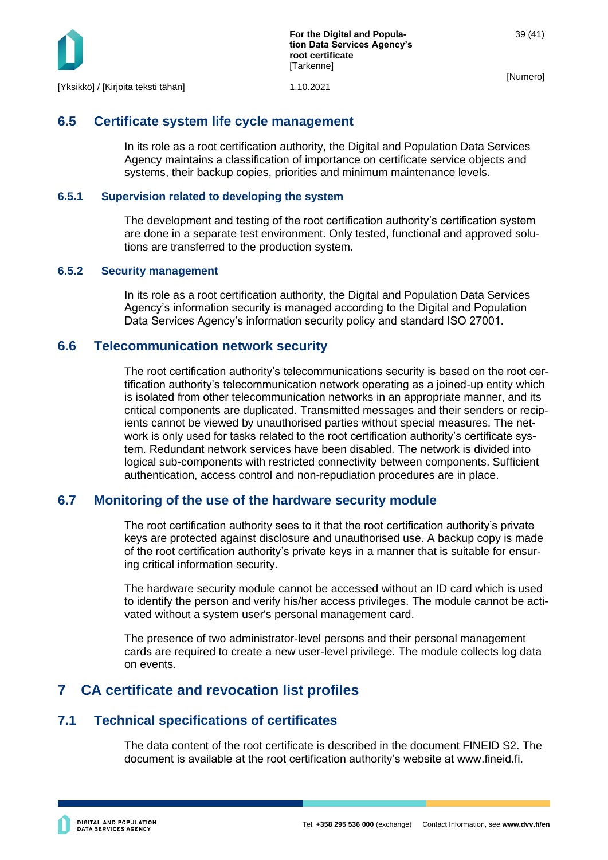

# <span id="page-39-0"></span>**6.5 Certificate system life cycle management**

In its role as a root certification authority, the Digital and Population Data Services Agency maintains a classification of importance on certificate service objects and systems, their backup copies, priorities and minimum maintenance levels.

#### <span id="page-39-1"></span>**6.5.1 Supervision related to developing the system**

The development and testing of the root certification authority's certification system are done in a separate test environment. Only tested, functional and approved solutions are transferred to the production system.

#### <span id="page-39-2"></span>**6.5.2 Security management**

In its role as a root certification authority, the Digital and Population Data Services Agency's information security is managed according to the Digital and Population Data Services Agency's information security policy and standard ISO 27001.

### <span id="page-39-3"></span>**6.6 Telecommunication network security**

The root certification authority's telecommunications security is based on the root certification authority's telecommunication network operating as a joined-up entity which is isolated from other telecommunication networks in an appropriate manner, and its critical components are duplicated. Transmitted messages and their senders or recipients cannot be viewed by unauthorised parties without special measures. The network is only used for tasks related to the root certification authority's certificate system. Redundant network services have been disabled. The network is divided into logical sub-components with restricted connectivity between components. Sufficient authentication, access control and non-repudiation procedures are in place.

# <span id="page-39-4"></span>**6.7 Monitoring of the use of the hardware security module**

The root certification authority sees to it that the root certification authority's private keys are protected against disclosure and unauthorised use. A backup copy is made of the root certification authority's private keys in a manner that is suitable for ensuring critical information security.

The hardware security module cannot be accessed without an ID card which is used to identify the person and verify his/her access privileges. The module cannot be activated without a system user's personal management card.

The presence of two administrator-level persons and their personal management cards are required to create a new user-level privilege. The module collects log data on events.

# <span id="page-39-5"></span>**7 CA certificate and revocation list profiles**

# <span id="page-39-6"></span>**7.1 Technical specifications of certificates**

The data content of the root certificate is described in the document FINEID S2. The document is available at the root certification authority's website at www.fineid.fi.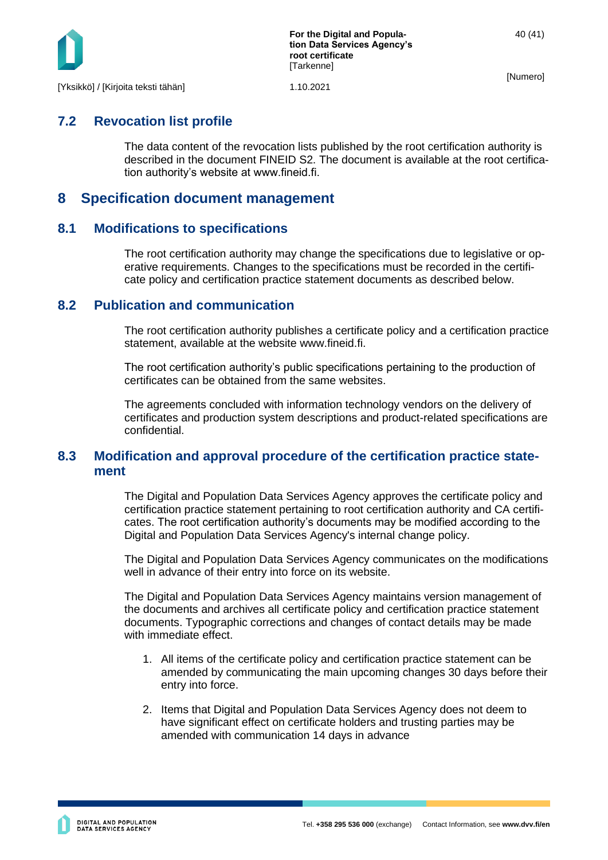

# <span id="page-40-0"></span>**7.2 Revocation list profile**

The data content of the revocation lists published by the root certification authority is described in the document FINEID S2. The document is available at the root certification authority's website at www.fineid.fi.

# <span id="page-40-1"></span>**8 Specification document management**

# <span id="page-40-2"></span>**8.1 Modifications to specifications**

The root certification authority may change the specifications due to legislative or operative requirements. Changes to the specifications must be recorded in the certificate policy and certification practice statement documents as described below.

# <span id="page-40-3"></span>**8.2 Publication and communication**

The root certification authority publishes a certificate policy and a certification practice statement, available at the website www.fineid.fi.

The root certification authority's public specifications pertaining to the production of certificates can be obtained from the same websites.

The agreements concluded with information technology vendors on the delivery of certificates and production system descriptions and product-related specifications are confidential.

# <span id="page-40-4"></span>**8.3 Modification and approval procedure of the certification practice statement**

The Digital and Population Data Services Agency approves the certificate policy and certification practice statement pertaining to root certification authority and CA certificates. The root certification authority's documents may be modified according to the Digital and Population Data Services Agency's internal change policy.

The Digital and Population Data Services Agency communicates on the modifications well in advance of their entry into force on its website.

The Digital and Population Data Services Agency maintains version management of the documents and archives all certificate policy and certification practice statement documents. Typographic corrections and changes of contact details may be made with immediate effect.

- 1. All items of the certificate policy and certification practice statement can be amended by communicating the main upcoming changes 30 days before their entry into force.
- 2. Items that Digital and Population Data Services Agency does not deem to have significant effect on certificate holders and trusting parties may be amended with communication 14 days in advance